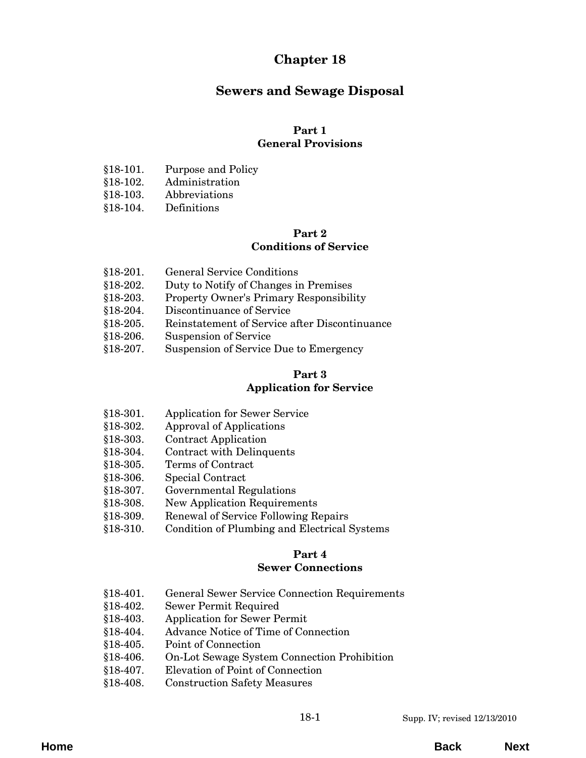# **Chapter 18**

# **Sewers and Sewage Disposal**

## **Part 1**

## **General Provisions**

- [§18-101. Purpose and Policy](#page-4-0)
- §18-102. Administration
- §18-103. Abbreviations
- [§18-104. Definitions](#page-5-0)

## **Part 2**

## **Conditions of Service**

- §18-201. General Service Conditions
- §18-202. Duty to Notify of Changes in Premises
- [§18-203. Property Owner's Primary Responsibility](#page-12-0)
- §18-204. Discontinuance of Service
- [§18-205. Reinstatement of Service after Discontinuance](#page-13-0)
- §18-206. Suspension of Service
- [§18-207. Suspension of Service Due to Emergency](#page-14-0)

## **Part 3**

## **Application for Service**

- [§18-301. Application for Sewer Service](#page-16-0)
- §18-302. Approval of Applications
- §18-303. Contract Application
- §18-304. Contract with Delinquents
- §18-305. Terms of Contract
- §18-306. Special Contract
- §18-307. Governmental Regulations
- §18-308. New Application Requirements
- §18-309. Renewal of Service Following Repairs
- [§18-310. Condition of Plumbing and Electrical Systems](#page-17-0)

## **Part 4**

## **Sewer Connections**

- [§18-401. General Sewer Service Connection Requirements](#page-20-0)
- §18-402. Sewer Permit Required
- §18-403. Application for Sewer Permit
- §18-404. Advance Notice of Time of Connection
- §18-405. Point of Connection
- [§18-406. On-Lot Sewage System Connection Prohibition](#page-21-0)
- §18-407. Elevation of Point of Connection
- §18-408. Construction Safety Measures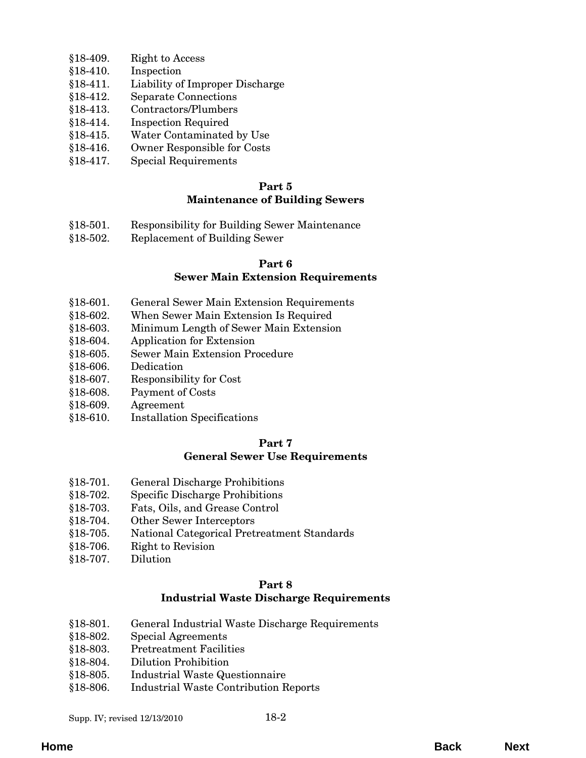- §18-409. Right to Access
- §18-410. Inspection
- [§18-411. Liability of Improper Discharge](#page-21-0)
- §18-412. Separate Connections
- §18-413. Contractors/Plumbers
- §18-414. Inspection Required
- §18-415. Water Contaminated by Use
- [§18-416. Owner Responsible for Costs](#page-22-0)
- [§18-417. Special Requirements](#page-23-0)

## **Maintenance of Building Sewers**

- [§18-501. Responsibility for Building Sewer Maintenance](#page-24-0)
- §18-502. Replacement of Building Sewer

# **Part 6**

## **Sewer Main Extension Requirements**

- [§18-601. General Sewer Main Extension Requirements](#page-26-0)
- §18-602. When Sewer Main Extension Is Required
- §18-603. Minimum Length of Sewer Main Extension
- §18-604. Application for Extension
- [§18-605. Sewer Main Extension Procedure](#page-27-0)
- §18-606. Dedication
- [§18-607. Responsibility for Cost](#page-28-0)
- [§18-608. Payment of Costs](#page-29-0)
- §18-609. Agreement
- [§18-610. Installation Specifications](#page-30-0)

# **Part 7**

## **General Sewer Use Requirements**

- [§18-701. General Discharge Prohibitions](#page-32-0)
- §18-702. Specific Discharge Prohibitions
- [§18-703. Fats, Oils, and Grease Control](#page-34-0)
- [§18-704. Other Sewer Interceptors](#page-37-0)
- [§18-705. National Categorical Pretreatment Standards](#page-38-0)
- §18-706. Right to Revision
- §18-707. Dilution

#### **Part 8**

## **Industrial Waste Discharge Requirements**

- [§18-801. General Industrial Waste Discharge Requirements](#page-40-0)
- §18-802. Special Agreements
- §18-803. Pretreatment Facilities
- §18-804. Dilution Prohibition
- §18-805. Industrial Waste Questionnaire
- [§18-806. Industrial Waste Contribution Reports](#page-41-0)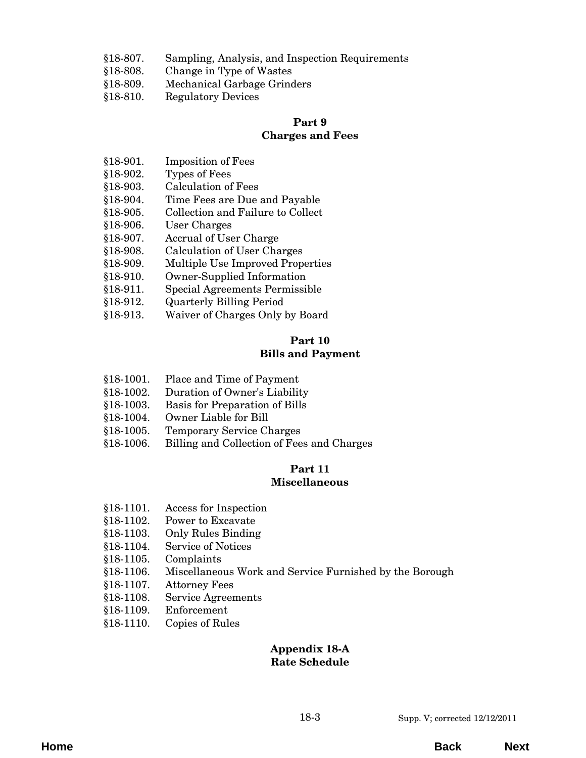- [§18-807. Sampling, Analysis, and Inspection Requirements](#page-41-0)
- §18-808. Change in Type of Wastes
- [§18-809. Mechanical Garbage Grinders](#page-42-0)
- §18-810. Regulatory Devices

#### **Charges and Fees**

- §18-901. Imposition of Fees
- §18-902. Types of Fees
- §18-903. Calculation of Fees
- §18-904. Time Fees are Due and Payable
- [§18-905. Collection and Failure to Collect](#page-44-0)
- §18-906. User Charges
- §18-907. Accrual of User Charge
- §18-908. Calculation of User Charges
- [§18-909. Multiple Use Improved Properties](#page-45-0)
- §18-910. Owner-Supplied Information
- §18-911. Special Agreements Permissible
- §18-912. Quarterly Billing Period
- [§18-913. Waiver of Charges Only by Board](#page-46-0)

#### **Part 10 Bills and Payment**

- §18-1001. Place and Time of Payment
- [§18-1002. Duration of Owner's Liability](#page-48-0)
- §18-1003. Basis for Preparation of Bills
- §18-1004. Owner Liable for Bill
- §18-1005. Temporary Service Charges
- [§18-1006. Billing and Collection of Fees and Charges](#page-49-0)

## **Part 11**

## **Miscellaneous**

- §18-1101. Access for Inspection
- §18-1102. Power to Excavate
- §18-1103. Only Rules Binding
- §18-1104. Service of Notices
- §18-1105. Complaints
- [§18-1106. Miscellaneous Work and Service Furnished by the Borough](#page-52-0)
- §18-1107. Attorney Fees
- [§18-1108. Service Agreements](#page-53-0)
- §18-1109. Enforcement
- [§18-1110. Copies of Rules](#page-54-0)

## **[Appendix 18-A](#page-56-0) Rate Schedule**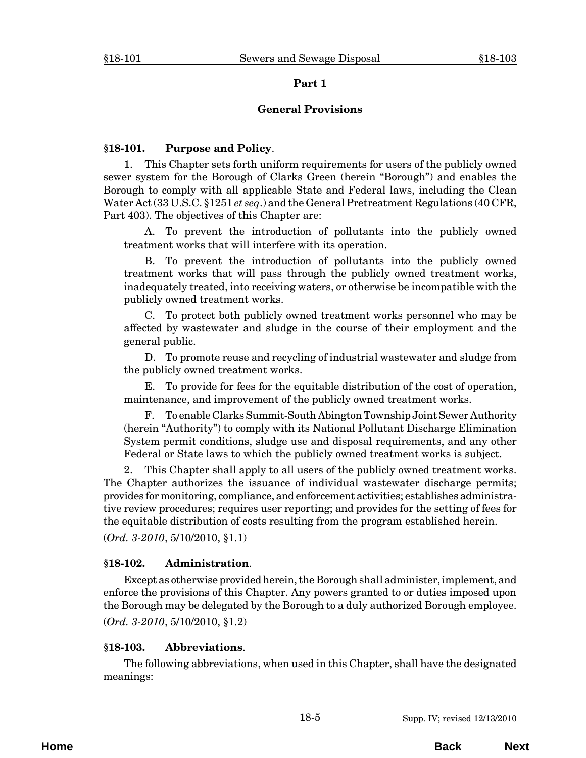#### **General Provisions**

## <span id="page-4-0"></span>**§18-101. Purpose and Policy**.

1. This Chapter sets forth uniform requirements for users of the publicly owned sewer system for the Borough of Clarks Green (herein "Borough") and enables the Borough to comply with all applicable State and Federal laws, including the Clean Water Act (33 U.S.C. §1251 *et seq*.) and the General Pretreatment Regulations (40 CFR, Part 403). The objectives of this Chapter are:

A. To prevent the introduction of pollutants into the publicly owned treatment works that will interfere with its operation.

B. To prevent the introduction of pollutants into the publicly owned treatment works that will pass through the publicly owned treatment works, inadequately treated, into receiving waters, or otherwise be incompatible with the publicly owned treatment works.

C. To protect both publicly owned treatment works personnel who may be affected by wastewater and sludge in the course of their employment and the general public.

D. To promote reuse and recycling of industrial wastewater and sludge from the publicly owned treatment works.

E. To provide for fees for the equitable distribution of the cost of operation, maintenance, and improvement of the publicly owned treatment works.

F. To enable Clarks Summit-South Abington Township Joint Sewer Authority (herein "Authority") to comply with its National Pollutant Discharge Elimination System permit conditions, sludge use and disposal requirements, and any other Federal or State laws to which the publicly owned treatment works is subject.

2. This Chapter shall apply to all users of the publicly owned treatment works. The Chapter authorizes the issuance of individual wastewater discharge permits; provides for monitoring, compliance, and enforcement activities; establishes administrative review procedures; requires user reporting; and provides for the setting of fees for the equitable distribution of costs resulting from the program established herein.

(*Ord. 3-2010*, 5/10/2010, §1.1)

## **§18-102. Administration**.

Except as otherwise provided herein, the Borough shall administer, implement, and enforce the provisions of this Chapter. Any powers granted to or duties imposed upon the Borough may be delegated by the Borough to a duly authorized Borough employee. (*Ord. 3-2010*, 5/10/2010, §1.2)

#### **§18-103. Abbreviations**.

The following abbreviations, when used in this Chapter, shall have the designated meanings: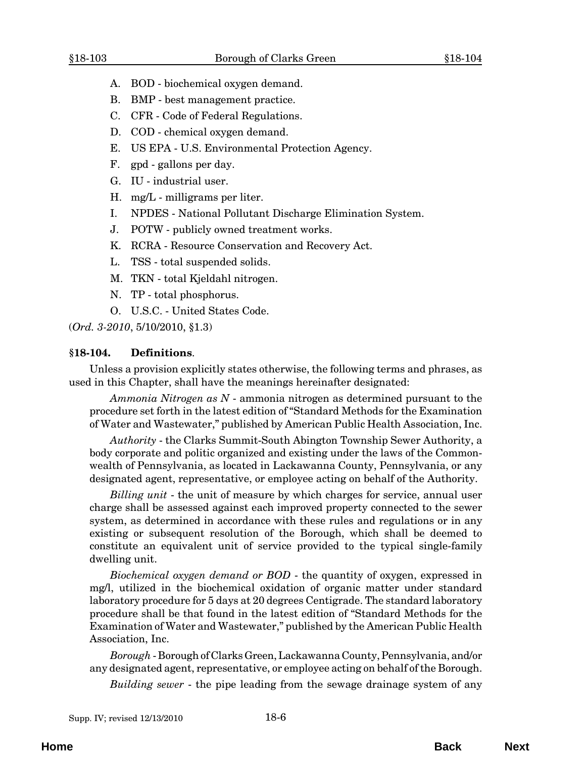- <span id="page-5-0"></span>A. BOD - biochemical oxygen demand.
- B. BMP best management practice.
- C. CFR Code of Federal Regulations.
- D. COD chemical oxygen demand.
- E. US EPA U.S. Environmental Protection Agency.
- F. gpd gallons per day.
- G. IU industrial user.
- H. mg/L milligrams per liter.
- I. NPDES National Pollutant Discharge Elimination System.
- J. POTW publicly owned treatment works.
- K. RCRA Resource Conservation and Recovery Act.
- L. TSS total suspended solids.
- M. TKN total Kjeldahl nitrogen.
- N. TP total phosphorus.
- O. U.S.C. United States Code.

(*Ord. 3-2010*, 5/10/2010, §1.3)

#### **§18-104. Definitions**.

Unless a provision explicitly states otherwise, the following terms and phrases, as used in this Chapter, shall have the meanings hereinafter designated:

*Ammonia Nitrogen as N* - ammonia nitrogen as determined pursuant to the procedure set forth in the latest edition of "Standard Methods for the Examination of Water and Wastewater," published by American Public Health Association, Inc.

*Authority* - the Clarks Summit-South Abington Township Sewer Authority, a body corporate and politic organized and existing under the laws of the Commonwealth of Pennsylvania, as located in Lackawanna County, Pennsylvania, or any designated agent, representative, or employee acting on behalf of the Authority.

*Billing unit* - the unit of measure by which charges for service, annual user charge shall be assessed against each improved property connected to the sewer system, as determined in accordance with these rules and regulations or in any existing or subsequent resolution of the Borough, which shall be deemed to constitute an equivalent unit of service provided to the typical single-family dwelling unit.

*Biochemical oxygen demand or BOD* - the quantity of oxygen, expressed in mg/l, utilized in the biochemical oxidation of organic matter under standard laboratory procedure for 5 days at 20 degrees Centigrade. The standard laboratory procedure shall be that found in the latest edition of "Standard Methods for the Examination of Water and Wastewater," published by the American Public Health Association, Inc.

*Borough* - Borough of Clarks Green, Lackawanna County, Pennsylvania, and/or any designated agent, representative, or employee acting on behalf of the Borough.

*Building sewer* - the pipe leading from the sewage drainage system of any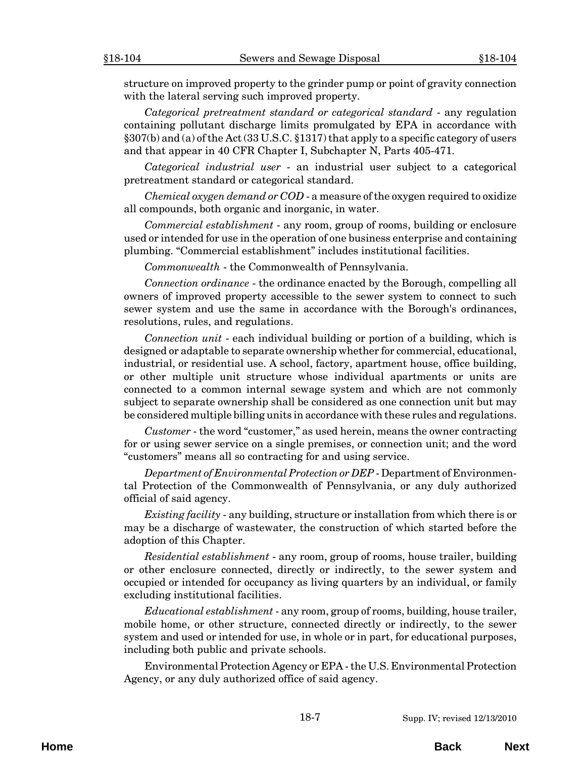structure on improved property to the grinder pump or point of gravity connection with the lateral serving such improved property.

*Categorical pretreatment standard or categorical standard* - any regulation containing pollutant discharge limits promulgated by EPA in accordance with §307(b) and (a) of the Act (33 U.S.C. §1317) that apply to a specific category of users and that appear in 40 CFR Chapter I, Subchapter N, Parts 405-471.

*Categorical industrial user* - an industrial user subject to a categorical pretreatment standard or categorical standard.

*Chemical oxygen demand or COD* - a measure of the oxygen required to oxidize all compounds, both organic and inorganic, in water.

*Commercial establishment* - any room, group of rooms, building or enclosure used or intended for use in the operation of one business enterprise and containing plumbing. "Commercial establishment" includes institutional facilities.

*Commonwealth* - the Commonwealth of Pennsylvania.

*Connection ordinance* - the ordinance enacted by the Borough, compelling all owners of improved property accessible to the sewer system to connect to such sewer system and use the same in accordance with the Borough's ordinances, resolutions, rules, and regulations.

*Connection unit* - each individual building or portion of a building, which is designed or adaptable to separate ownership whether for commercial, educational, industrial, or residential use. A school, factory, apartment house, office building, or other multiple unit structure whose individual apartments or units are connected to a common internal sewage system and which are not commonly subject to separate ownership shall be considered as one connection unit but may be considered multiple billing units in accordance with these rules and regulations.

*Customer* - the word "customer," as used herein, means the owner contracting for or using sewer service on a single premises, or connection unit; and the word "customers" means all so contracting for and using service.

*Department of Environmental Protection or DEP* - Department of Environmental Protection of the Commonwealth of Pennsylvania, or any duly authorized official of said agency.

*Existing facility* - any building, structure or installation from which there is or may be a discharge of wastewater, the construction of which started before the adoption of this Chapter.

*Residential establishment* - any room, group of rooms, house trailer, building or other enclosure connected, directly or indirectly, to the sewer system and occupied or intended for occupancy as living quarters by an individual, or family excluding institutional facilities.

*Educational establishment* - any room, group of rooms, building, house trailer, mobile home, or other structure, connected directly or indirectly, to the sewer system and used or intended for use, in whole or in part, for educational purposes, including both public and private schools.

Environmental Protection Agency or EPA - the U.S. Environmental Protection Agency, or any duly authorized office of said agency.

**Home Back Next**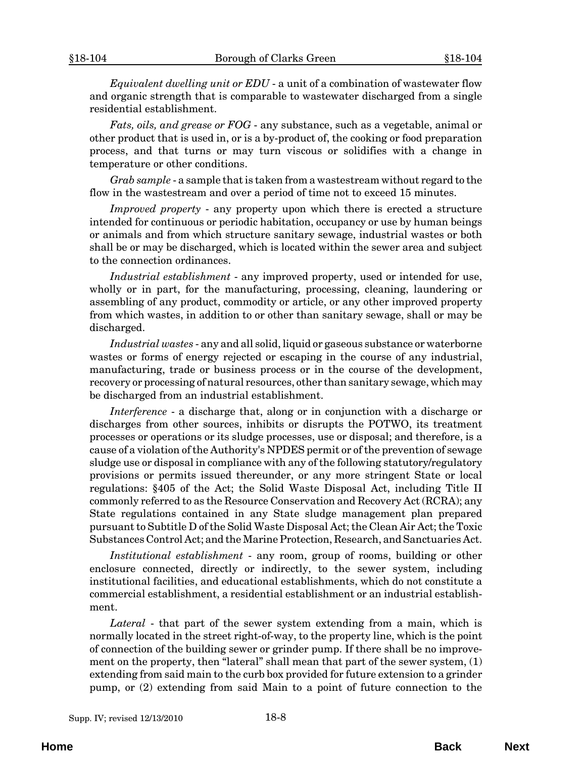*Equivalent dwelling unit or EDU* - a unit of a combination of wastewater flow and organic strength that is comparable to wastewater discharged from a single residential establishment.

*Fats, oils, and grease or FOG* - any substance, such as a vegetable, animal or other product that is used in, or is a by-product of, the cooking or food preparation process, and that turns or may turn viscous or solidifies with a change in temperature or other conditions.

*Grab sample* - a sample that is taken from a wastestream without regard to the flow in the wastestream and over a period of time not to exceed 15 minutes.

*Improved property* - any property upon which there is erected a structure intended for continuous or periodic habitation, occupancy or use by human beings or animals and from which structure sanitary sewage, industrial wastes or both shall be or may be discharged, which is located within the sewer area and subject to the connection ordinances.

*Industrial establishment* - any improved property, used or intended for use, wholly or in part, for the manufacturing, processing, cleaning, laundering or assembling of any product, commodity or article, or any other improved property from which wastes, in addition to or other than sanitary sewage, shall or may be discharged.

*Industrial wastes* - any and all solid, liquid or gaseous substance or waterborne wastes or forms of energy rejected or escaping in the course of any industrial, manufacturing, trade or business process or in the course of the development, recovery or processing of natural resources, other than sanitary sewage, which may be discharged from an industrial establishment.

*Interference* - a discharge that, along or in conjunction with a discharge or discharges from other sources, inhibits or disrupts the POTWO, its treatment processes or operations or its sludge processes, use or disposal; and therefore, is a cause of a violation of the Authority's NPDES permit or of the prevention of sewage sludge use or disposal in compliance with any of the following statutory/regulatory provisions or permits issued thereunder, or any more stringent State or local regulations: §405 of the Act; the Solid Waste Disposal Act, including Title II commonly referred to as the Resource Conservation and Recovery Act (RCRA); any State regulations contained in any State sludge management plan prepared pursuant to Subtitle D of the Solid Waste Disposal Act; the Clean Air Act; the Toxic Substances Control Act; and the Marine Protection, Research, and Sanctuaries Act.

*Institutional establishment* - any room, group of rooms, building or other enclosure connected, directly or indirectly, to the sewer system, including institutional facilities, and educational establishments, which do not constitute a commercial establishment, a residential establishment or an industrial establishment.

*Lateral* - that part of the sewer system extending from a main, which is normally located in the street right-of-way, to the property line, which is the point of connection of the building sewer or grinder pump. If there shall be no improvement on the property, then "lateral" shall mean that part of the sewer system, (1) extending from said main to the curb box provided for future extension to a grinder pump, or (2) extending from said Main to a point of future connection to the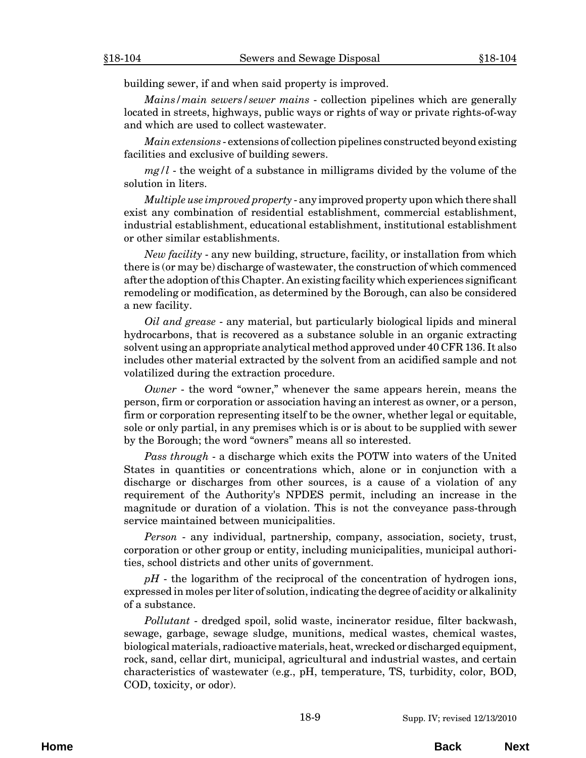building sewer, if and when said property is improved.

*Mains/main sewers/sewer mains* - collection pipelines which are generally located in streets, highways, public ways or rights of way or private rights-of-way and which are used to collect wastewater.

*Main extensions* - extensions of collection pipelines constructed beyond existing facilities and exclusive of building sewers.

*mg/l* - the weight of a substance in milligrams divided by the volume of the solution in liters.

*Multiple use improved property* - any improved property upon which there shall exist any combination of residential establishment, commercial establishment, industrial establishment, educational establishment, institutional establishment or other similar establishments.

*New facility* - any new building, structure, facility, or installation from which there is (or may be) discharge of wastewater, the construction of which commenced after the adoption of this Chapter. An existing facility which experiences significant remodeling or modification, as determined by the Borough, can also be considered a new facility.

*Oil and grease* - any material, but particularly biological lipids and mineral hydrocarbons, that is recovered as a substance soluble in an organic extracting solvent using an appropriate analytical method approved under 40 CFR 136. It also includes other material extracted by the solvent from an acidified sample and not volatilized during the extraction procedure.

*Owner* - the word "owner," whenever the same appears herein, means the person, firm or corporation or association having an interest as owner, or a person, firm or corporation representing itself to be the owner, whether legal or equitable, sole or only partial, in any premises which is or is about to be supplied with sewer by the Borough; the word "owners" means all so interested.

*Pass through* - a discharge which exits the POTW into waters of the United States in quantities or concentrations which, alone or in conjunction with a discharge or discharges from other sources, is a cause of a violation of any requirement of the Authority's NPDES permit, including an increase in the magnitude or duration of a violation. This is not the conveyance pass-through service maintained between municipalities.

*Person* - any individual, partnership, company, association, society, trust, corporation or other group or entity, including municipalities, municipal authorities, school districts and other units of government.

*pH* - the logarithm of the reciprocal of the concentration of hydrogen ions, expressed in moles per liter of solution, indicating the degree of acidity or alkalinity of a substance.

*Pollutant* - dredged spoil, solid waste, incinerator residue, filter backwash, sewage, garbage, sewage sludge, munitions, medical wastes, chemical wastes, biological materials, radioactive materials, heat, wrecked or discharged equipment, rock, sand, cellar dirt, municipal, agricultural and industrial wastes, and certain characteristics of wastewater (e.g., pH, temperature, TS, turbidity, color, BOD, COD, toxicity, or odor).

**Home Back Next**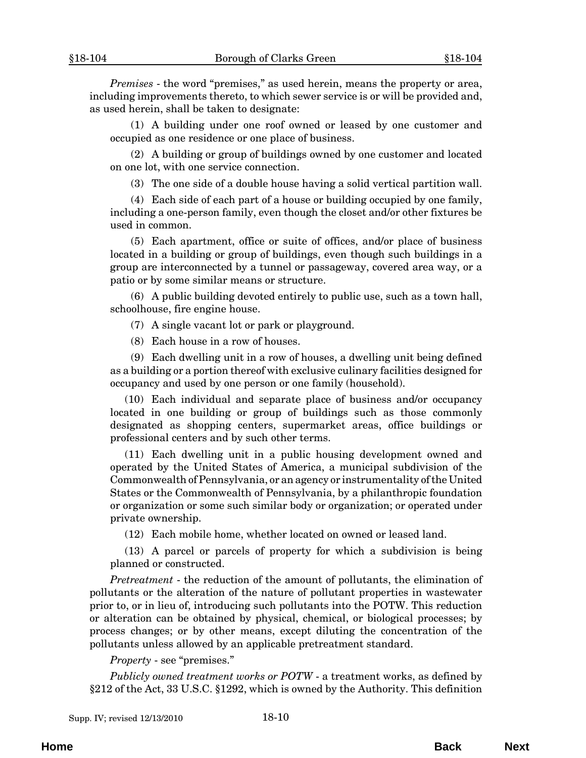*Premises* - the word "premises," as used herein, means the property or area, including improvements thereto, to which sewer service is or will be provided and, as used herein, shall be taken to designate:

(1) A building under one roof owned or leased by one customer and occupied as one residence or one place of business.

(2) A building or group of buildings owned by one customer and located on one lot, with one service connection.

(3) The one side of a double house having a solid vertical partition wall.

(4) Each side of each part of a house or building occupied by one family, including a one-person family, even though the closet and/or other fixtures be used in common.

(5) Each apartment, office or suite of offices, and/or place of business located in a building or group of buildings, even though such buildings in a group are interconnected by a tunnel or passageway, covered area way, or a patio or by some similar means or structure.

(6) A public building devoted entirely to public use, such as a town hall, schoolhouse, fire engine house.

(7) A single vacant lot or park or playground.

(8) Each house in a row of houses.

(9) Each dwelling unit in a row of houses, a dwelling unit being defined as a building or a portion thereof with exclusive culinary facilities designed for occupancy and used by one person or one family (household).

(10) Each individual and separate place of business and/or occupancy located in one building or group of buildings such as those commonly designated as shopping centers, supermarket areas, office buildings or professional centers and by such other terms.

(11) Each dwelling unit in a public housing development owned and operated by the United States of America, a municipal subdivision of the Commonwealth of Pennsylvania, or an agency or instrumentality of the United States or the Commonwealth of Pennsylvania, by a philanthropic foundation or organization or some such similar body or organization; or operated under private ownership.

(12) Each mobile home, whether located on owned or leased land.

(13) A parcel or parcels of property for which a subdivision is being planned or constructed.

*Pretreatment* - the reduction of the amount of pollutants, the elimination of pollutants or the alteration of the nature of pollutant properties in wastewater prior to, or in lieu of, introducing such pollutants into the POTW. This reduction or alteration can be obtained by physical, chemical, or biological processes; by process changes; or by other means, except diluting the concentration of the pollutants unless allowed by an applicable pretreatment standard.

#### *Property* - see "premises."

*Publicly owned treatment works or POTW* - a treatment works, as defined by §212 of the Act, 33 U.S.C. §1292, which is owned by the Authority. This definition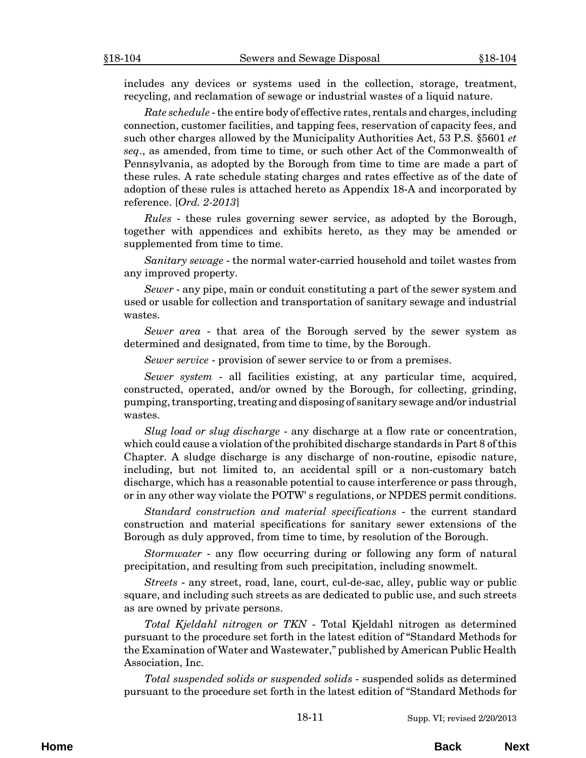includes any devices or systems used in the collection, storage, treatment, recycling, and reclamation of sewage or industrial wastes of a liquid nature.

*Rate schedule* - the entire body of effective rates, rentals and charges, including connection, customer facilities, and tapping fees, reservation of capacity fees, and such other charges allowed by the Municipality Authorities Act, 53 P.S. §5601 *et seq*., as amended, from time to time, or such other Act of the Commonwealth of Pennsylvania, as adopted by the Borough from time to time are made a part of these rules. A rate schedule stating charges and rates effective as of the date of adoption of these rules is attached hereto as Appendix 18-A and incorporated by reference. [*Ord. 2-2013*]

*Rules* - these rules governing sewer service, as adopted by the Borough, together with appendices and exhibits hereto, as they may be amended or supplemented from time to time.

*Sanitary sewage* - the normal water-carried household and toilet wastes from any improved property.

*Sewer* - any pipe, main or conduit constituting a part of the sewer system and used or usable for collection and transportation of sanitary sewage and industrial wastes.

*Sewer area* - that area of the Borough served by the sewer system as determined and designated, from time to time, by the Borough.

*Sewer service* - provision of sewer service to or from a premises.

*Sewer system* - all facilities existing, at any particular time, acquired, constructed, operated, and/or owned by the Borough, for collecting, grinding, pumping, transporting, treating and disposing of sanitary sewage and/or industrial wastes.

*Slug load or slug discharge* - any discharge at a flow rate or concentration, which could cause a violation of the prohibited discharge standards in Part 8 of this Chapter. A sludge discharge is any discharge of non-routine, episodic nature, including, but not limited to, an accidental spill or a non-customary batch discharge, which has a reasonable potential to cause interference or pass through, or in any other way violate the POTW' s regulations, or NPDES permit conditions.

*Standard construction and material specifications* - the current standard construction and material specifications for sanitary sewer extensions of the Borough as duly approved, from time to time, by resolution of the Borough.

*Stormwater* - any flow occurring during or following any form of natural precipitation, and resulting from such precipitation, including snowmelt.

*Streets* - any street, road, lane, court, cul-de-sac, alley, public way or public square, and including such streets as are dedicated to public use, and such streets as are owned by private persons.

*Total Kjeldahl nitrogen or TKN* - Total Kjeldahl nitrogen as determined pursuant to the procedure set forth in the latest edition of "Standard Methods for the Examination of Water and Wastewater," published by American Public Health Association, Inc.

*Total suspended solids or suspended solids* - suspended solids as determined pursuant to the procedure set forth in the latest edition of "Standard Methods for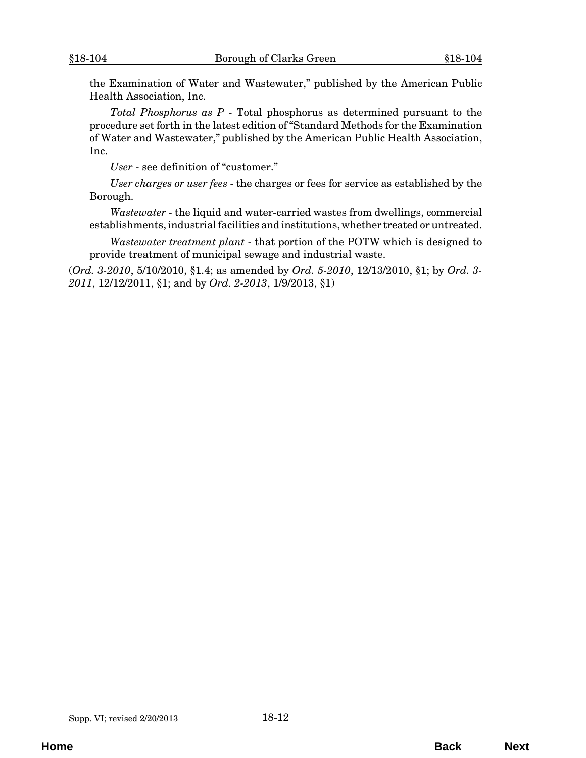the Examination of Water and Wastewater," published by the American Public Health Association, Inc.

*Total Phosphorus as P* - Total phosphorus as determined pursuant to the procedure set forth in the latest edition of "Standard Methods for the Examination of Water and Wastewater," published by the American Public Health Association, Inc.

*User* - see definition of "customer."

*User charges or user fees* - the charges or fees for service as established by the Borough.

*Wastewater* - the liquid and water-carried wastes from dwellings, commercial establishments, industrial facilities and institutions, whether treated or untreated.

*Wastewater treatment plant* - that portion of the POTW which is designed to provide treatment of municipal sewage and industrial waste.

(*Ord. 3-2010*, 5/10/2010, §1.4; as amended by *Ord. 5-2010*, 12/13/2010, §1; by *Ord. 3- 2011*, 12/12/2011, §1; and by *Ord. 2-2013*, 1/9/2013, §1)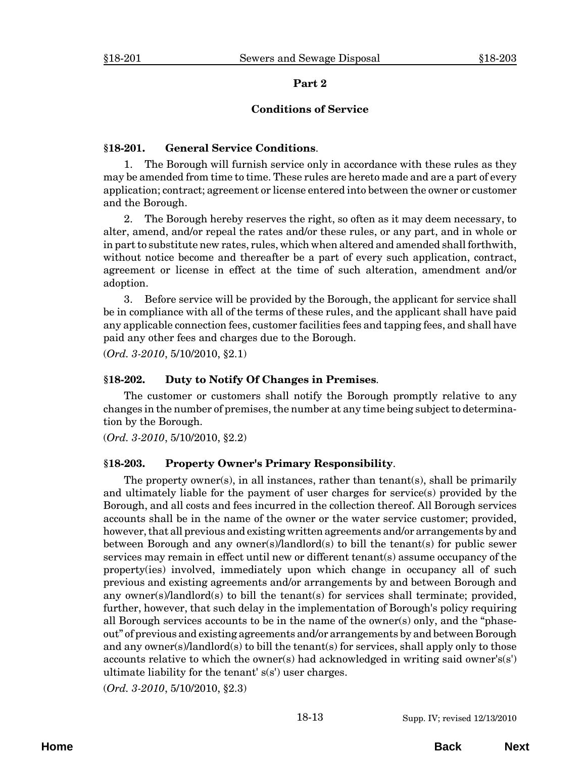#### **Conditions of Service**

## <span id="page-12-0"></span>**§18-201. General Service Conditions**.

1. The Borough will furnish service only in accordance with these rules as they may be amended from time to time. These rules are hereto made and are a part of every application; contract; agreement or license entered into between the owner or customer and the Borough.

2. The Borough hereby reserves the right, so often as it may deem necessary, to alter, amend, and/or repeal the rates and/or these rules, or any part, and in whole or in part to substitute new rates, rules, which when altered and amended shall forthwith, without notice become and thereafter be a part of every such application, contract, agreement or license in effect at the time of such alteration, amendment and/or adoption.

3. Before service will be provided by the Borough, the applicant for service shall be in compliance with all of the terms of these rules, and the applicant shall have paid any applicable connection fees, customer facilities fees and tapping fees, and shall have paid any other fees and charges due to the Borough.

(*Ord. 3-2010*, 5/10/2010, §2.1)

#### **§18-202. Duty to Notify Of Changes in Premises**.

The customer or customers shall notify the Borough promptly relative to any changes in the number of premises, the number at any time being subject to determination by the Borough.

(*Ord. 3-2010*, 5/10/2010, §2.2)

#### **§18-203. Property Owner's Primary Responsibility**.

The property owner(s), in all instances, rather than tenant(s), shall be primarily and ultimately liable for the payment of user charges for service(s) provided by the Borough, and all costs and fees incurred in the collection thereof. All Borough services accounts shall be in the name of the owner or the water service customer; provided, however, that all previous and existing written agreements and/or arrangements by and between Borough and any owner(s)/landlord(s) to bill the tenant(s) for public sewer services may remain in effect until new or different tenant(s) assume occupancy of the property(ies) involved, immediately upon which change in occupancy all of such previous and existing agreements and/or arrangements by and between Borough and any owner(s)/landlord(s) to bill the tenant(s) for services shall terminate; provided, further, however, that such delay in the implementation of Borough's policy requiring all Borough services accounts to be in the name of the owner(s) only, and the "phaseout" of previous and existing agreements and/or arrangements by and between Borough and any owner(s)/landlord(s) to bill the tenant(s) for services, shall apply only to those accounts relative to which the owner(s) had acknowledged in writing said owner's(s') ultimate liability for the tenant' s(s') user charges.

(*Ord. 3-2010*, 5/10/2010, §2.3)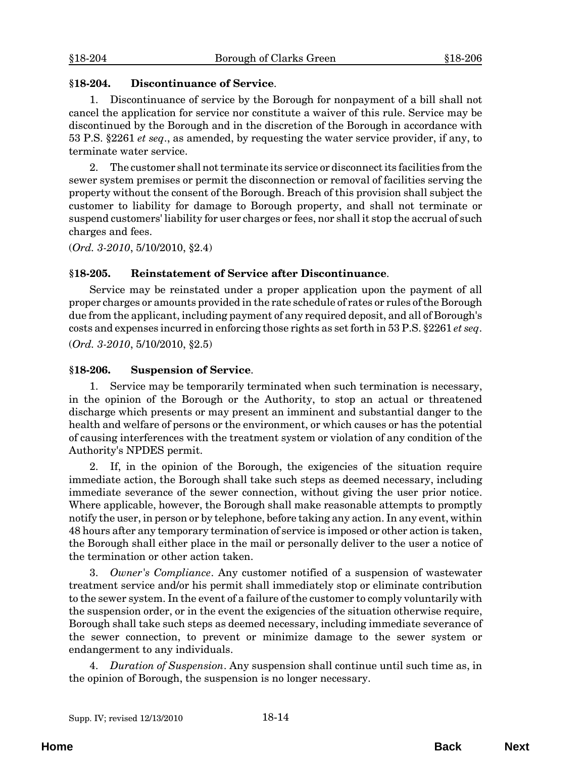## <span id="page-13-0"></span>**§18-204. Discontinuance of Service**.

1. Discontinuance of service by the Borough for nonpayment of a bill shall not cancel the application for service nor constitute a waiver of this rule. Service may be discontinued by the Borough and in the discretion of the Borough in accordance with 53 P.S. §2261 *et seq*., as amended, by requesting the water service provider, if any, to terminate water service.

2. The customer shall not terminate its service or disconnect its facilities from the sewer system premises or permit the disconnection or removal of facilities serving the property without the consent of the Borough. Breach of this provision shall subject the customer to liability for damage to Borough property, and shall not terminate or suspend customers' liability for user charges or fees, nor shall it stop the accrual of such charges and fees.

(*Ord. 3-2010*, 5/10/2010, §2.4)

## **§18-205. Reinstatement of Service after Discontinuance**.

Service may be reinstated under a proper application upon the payment of all proper charges or amounts provided in the rate schedule of rates or rules of the Borough due from the applicant, including payment of any required deposit, and all of Borough's costs and expenses incurred in enforcing those rights as set forth in 53 P.S. §2261 *et seq*.

(*Ord. 3-2010*, 5/10/2010, §2.5)

## **§18-206. Suspension of Service**.

1. Service may be temporarily terminated when such termination is necessary, in the opinion of the Borough or the Authority, to stop an actual or threatened discharge which presents or may present an imminent and substantial danger to the health and welfare of persons or the environment, or which causes or has the potential of causing interferences with the treatment system or violation of any condition of the Authority's NPDES permit.

2. If, in the opinion of the Borough, the exigencies of the situation require immediate action, the Borough shall take such steps as deemed necessary, including immediate severance of the sewer connection, without giving the user prior notice. Where applicable, however, the Borough shall make reasonable attempts to promptly notify the user, in person or by telephone, before taking any action. In any event, within 48 hours after any temporary termination of service is imposed or other action is taken, the Borough shall either place in the mail or personally deliver to the user a notice of the termination or other action taken.

3. *Owner's Compliance*. Any customer notified of a suspension of wastewater treatment service and/or his permit shall immediately stop or eliminate contribution to the sewer system. In the event of a failure of the customer to comply voluntarily with the suspension order, or in the event the exigencies of the situation otherwise require, Borough shall take such steps as deemed necessary, including immediate severance of the sewer connection, to prevent or minimize damage to the sewer system or endangerment to any individuals.

4. *Duration of Suspension*. Any suspension shall continue until such time as, in the opinion of Borough, the suspension is no longer necessary.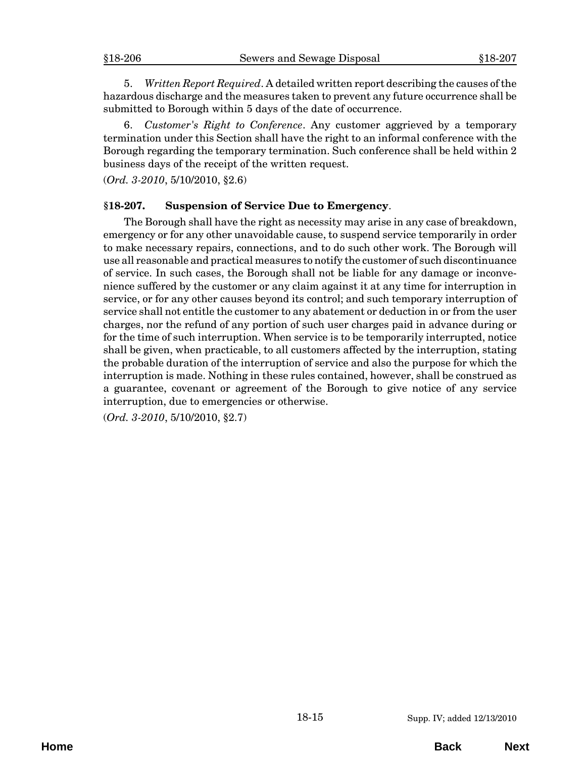<span id="page-14-0"></span>5. *Written Report Required*. A detailed written report describing the causes of the hazardous discharge and the measures taken to prevent any future occurrence shall be submitted to Borough within 5 days of the date of occurrence.

6. *Customer's Right to Conference*. Any customer aggrieved by a temporary termination under this Section shall have the right to an informal conference with the Borough regarding the temporary termination. Such conference shall be held within 2 business days of the receipt of the written request.

(*Ord. 3-2010*, 5/10/2010, §2.6)

## **§18-207. Suspension of Service Due to Emergency**.

The Borough shall have the right as necessity may arise in any case of breakdown, emergency or for any other unavoidable cause, to suspend service temporarily in order to make necessary repairs, connections, and to do such other work. The Borough will use all reasonable and practical measures to notify the customer of such discontinuance of service. In such cases, the Borough shall not be liable for any damage or inconvenience suffered by the customer or any claim against it at any time for interruption in service, or for any other causes beyond its control; and such temporary interruption of service shall not entitle the customer to any abatement or deduction in or from the user charges, nor the refund of any portion of such user charges paid in advance during or for the time of such interruption. When service is to be temporarily interrupted, notice shall be given, when practicable, to all customers affected by the interruption, stating the probable duration of the interruption of service and also the purpose for which the interruption is made. Nothing in these rules contained, however, shall be construed as a guarantee, covenant or agreement of the Borough to give notice of any service interruption, due to emergencies or otherwise.

(*Ord. 3-2010*, 5/10/2010, §2.7)

**Home Back Next**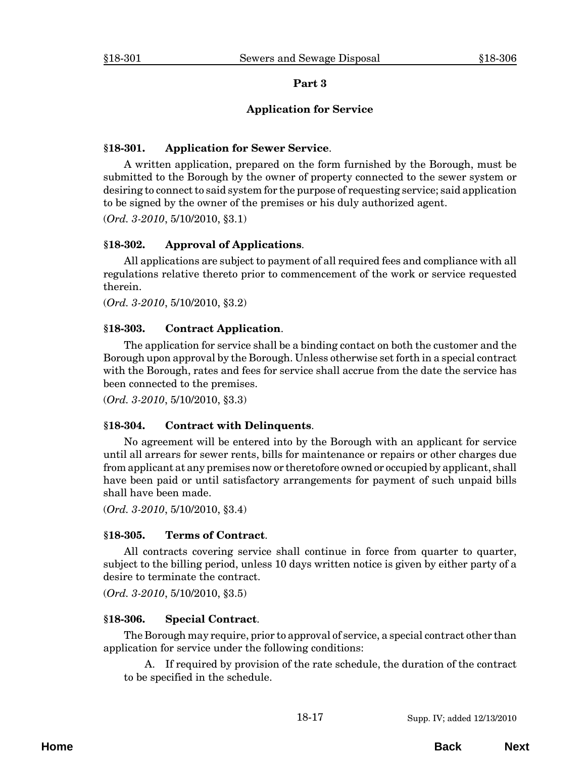#### **Application for Service**

#### <span id="page-16-0"></span>**§18-301. Application for Sewer Service**.

A written application, prepared on the form furnished by the Borough, must be submitted to the Borough by the owner of property connected to the sewer system or desiring to connect to said system for the purpose of requesting service; said application to be signed by the owner of the premises or his duly authorized agent.

(*Ord. 3-2010*, 5/10/2010, §3.1)

## **§18-302. Approval of Applications**.

All applications are subject to payment of all required fees and compliance with all regulations relative thereto prior to commencement of the work or service requested therein.

(*Ord. 3-2010*, 5/10/2010, §3.2)

## **§18-303. Contract Application**.

The application for service shall be a binding contact on both the customer and the Borough upon approval by the Borough. Unless otherwise set forth in a special contract with the Borough, rates and fees for service shall accrue from the date the service has been connected to the premises.

(*Ord. 3-2010*, 5/10/2010, §3.3)

#### **§18-304. Contract with Delinquents**.

No agreement will be entered into by the Borough with an applicant for service until all arrears for sewer rents, bills for maintenance or repairs or other charges due from applicant at any premises now or theretofore owned or occupied by applicant, shall have been paid or until satisfactory arrangements for payment of such unpaid bills shall have been made.

(*Ord. 3-2010*, 5/10/2010, §3.4)

#### **§18-305. Terms of Contract**.

All contracts covering service shall continue in force from quarter to quarter, subject to the billing period, unless 10 days written notice is given by either party of a desire to terminate the contract.

(*Ord. 3-2010*, 5/10/2010, §3.5)

#### **§18-306. Special Contract**.

The Borough may require, prior to approval of service, a special contract other than application for service under the following conditions:

A. If required by provision of the rate schedule, the duration of the contract to be specified in the schedule.

**Home Back Next**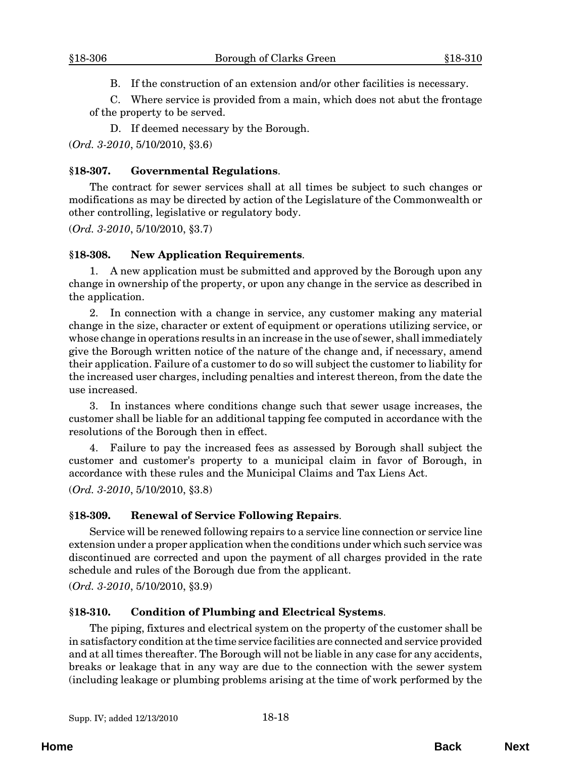B. If the construction of an extension and/or other facilities is necessary.

<span id="page-17-0"></span>C. Where service is provided from a main, which does not abut the frontage of the property to be served.

D. If deemed necessary by the Borough.

(*Ord. 3-2010*, 5/10/2010, §3.6)

## **§18-307. Governmental Regulations**.

The contract for sewer services shall at all times be subject to such changes or modifications as may be directed by action of the Legislature of the Commonwealth or other controlling, legislative or regulatory body.

(*Ord. 3-2010*, 5/10/2010, §3.7)

## **§18-308. New Application Requirements**.

1. A new application must be submitted and approved by the Borough upon any change in ownership of the property, or upon any change in the service as described in the application.

2. In connection with a change in service, any customer making any material change in the size, character or extent of equipment or operations utilizing service, or whose change in operations results in an increase in the use of sewer, shall immediately give the Borough written notice of the nature of the change and, if necessary, amend their application. Failure of a customer to do so will subject the customer to liability for the increased user charges, including penalties and interest thereon, from the date the use increased.

3. In instances where conditions change such that sewer usage increases, the customer shall be liable for an additional tapping fee computed in accordance with the resolutions of the Borough then in effect.

4. Failure to pay the increased fees as assessed by Borough shall subject the customer and customer's property to a municipal claim in favor of Borough, in accordance with these rules and the Municipal Claims and Tax Liens Act. (*Ord. 3-2010*, 5/10/2010, §3.8)

## **§18-309. Renewal of Service Following Repairs**.

Service will be renewed following repairs to a service line connection or service line extension under a proper application when the conditions under which such service was discontinued are corrected and upon the payment of all charges provided in the rate schedule and rules of the Borough due from the applicant.

(*Ord. 3-2010*, 5/10/2010, §3.9)

## **§18-310. Condition of Plumbing and Electrical Systems**.

The piping, fixtures and electrical system on the property of the customer shall be in satisfactory condition at the time service facilities are connected and service provided and at all times thereafter. The Borough will not be liable in any case for any accidents, breaks or leakage that in any way are due to the connection with the sewer system (including leakage or plumbing problems arising at the time of work performed by the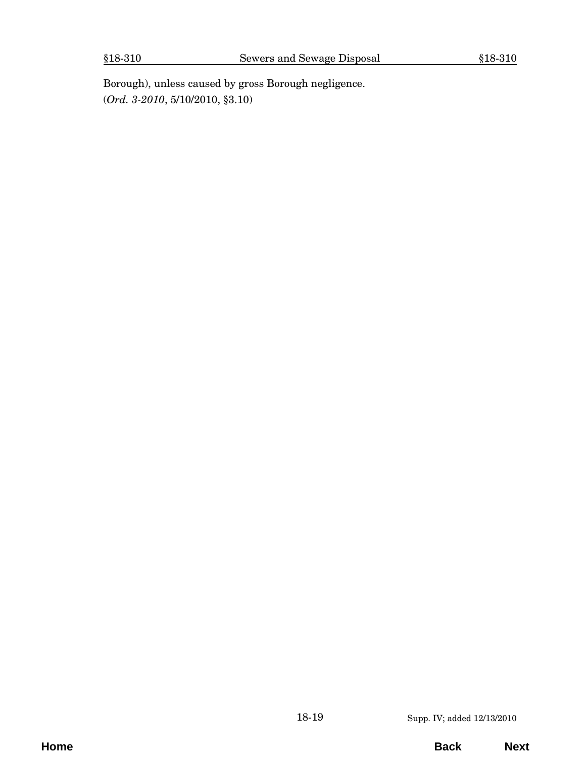Borough), unless caused by gross Borough negligence. (*Ord. 3-2010*, 5/10/2010, §3.10)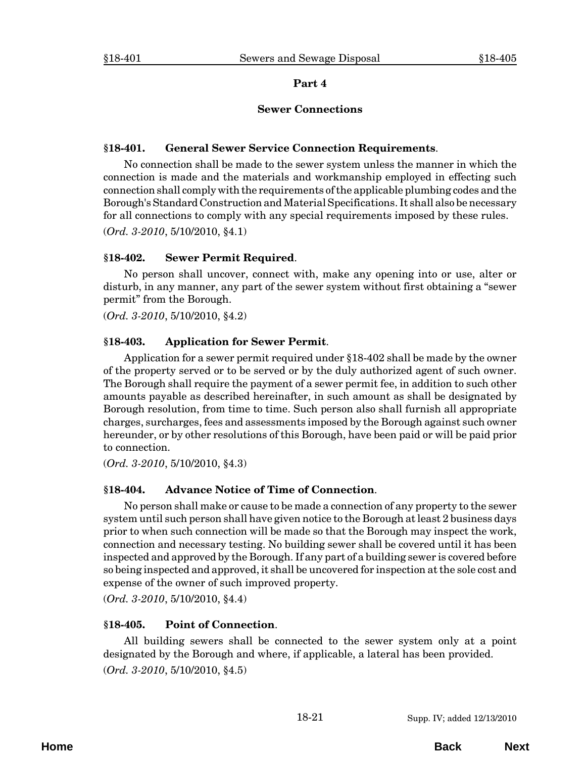#### **Sewer Connections**

#### <span id="page-20-0"></span>**§18-401. General Sewer Service Connection Requirements**.

No connection shall be made to the sewer system unless the manner in which the connection is made and the materials and workmanship employed in effecting such connection shall comply with the requirements of the applicable plumbing codes and the Borough's Standard Construction and Material Specifications. It shall also be necessary for all connections to comply with any special requirements imposed by these rules.

(*Ord. 3-2010*, 5/10/2010, §4.1)

## **§18-402. Sewer Permit Required**.

No person shall uncover, connect with, make any opening into or use, alter or disturb, in any manner, any part of the sewer system without first obtaining a "sewer permit" from the Borough.

(*Ord. 3-2010*, 5/10/2010, §4.2)

## **§18-403. Application for Sewer Permit**.

Application for a sewer permit required under §18-402 shall be made by the owner of the property served or to be served or by the duly authorized agent of such owner. The Borough shall require the payment of a sewer permit fee, in addition to such other amounts payable as described hereinafter, in such amount as shall be designated by Borough resolution, from time to time. Such person also shall furnish all appropriate charges, surcharges, fees and assessments imposed by the Borough against such owner hereunder, or by other resolutions of this Borough, have been paid or will be paid prior to connection.

(*Ord. 3-2010*, 5/10/2010, §4.3)

## **§18-404. Advance Notice of Time of Connection**.

No person shall make or cause to be made a connection of any property to the sewer system until such person shall have given notice to the Borough at least 2 business days prior to when such connection will be made so that the Borough may inspect the work, connection and necessary testing. No building sewer shall be covered until it has been inspected and approved by the Borough. If any part of a building sewer is covered before so being inspected and approved, it shall be uncovered for inspection at the sole cost and expense of the owner of such improved property.

(*Ord. 3-2010*, 5/10/2010, §4.4)

## **§18-405. Point of Connection**.

All building sewers shall be connected to the sewer system only at a point designated by the Borough and where, if applicable, a lateral has been provided. (*Ord. 3-2010*, 5/10/2010, §4.5)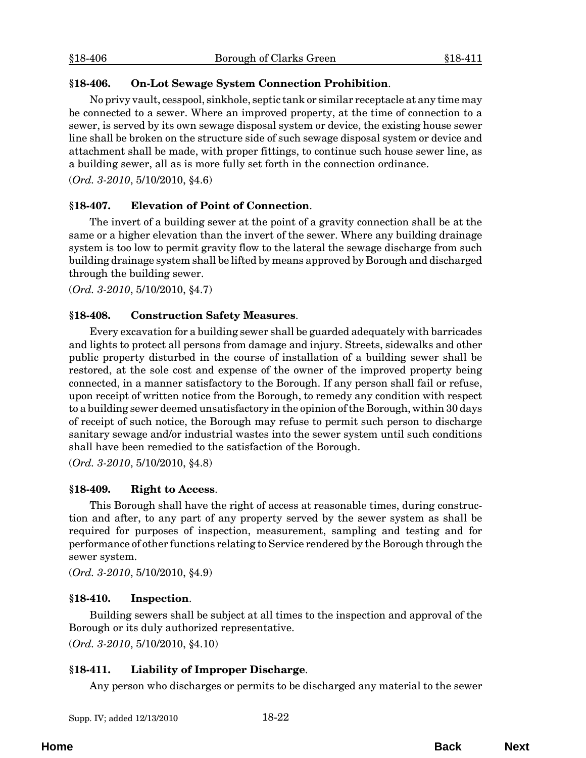## <span id="page-21-0"></span>**§18-406. On-Lot Sewage System Connection Prohibition**.

No privy vault, cesspool, sinkhole, septic tank or similar receptacle at any time may be connected to a sewer. Where an improved property, at the time of connection to a sewer, is served by its own sewage disposal system or device, the existing house sewer line shall be broken on the structure side of such sewage disposal system or device and attachment shall be made, with proper fittings, to continue such house sewer line, as a building sewer, all as is more fully set forth in the connection ordinance.

(*Ord. 3-2010*, 5/10/2010, §4.6)

## **§18-407. Elevation of Point of Connection**.

The invert of a building sewer at the point of a gravity connection shall be at the same or a higher elevation than the invert of the sewer. Where any building drainage system is too low to permit gravity flow to the lateral the sewage discharge from such building drainage system shall be lifted by means approved by Borough and discharged through the building sewer.

(*Ord. 3-2010*, 5/10/2010, §4.7)

## **§18-408. Construction Safety Measures**.

Every excavation for a building sewer shall be guarded adequately with barricades and lights to protect all persons from damage and injury. Streets, sidewalks and other public property disturbed in the course of installation of a building sewer shall be restored, at the sole cost and expense of the owner of the improved property being connected, in a manner satisfactory to the Borough. If any person shall fail or refuse, upon receipt of written notice from the Borough, to remedy any condition with respect to a building sewer deemed unsatisfactory in the opinion of the Borough, within 30 days of receipt of such notice, the Borough may refuse to permit such person to discharge sanitary sewage and/or industrial wastes into the sewer system until such conditions shall have been remedied to the satisfaction of the Borough.

(*Ord. 3-2010*, 5/10/2010, §4.8)

## **§18-409. Right to Access**.

This Borough shall have the right of access at reasonable times, during construction and after, to any part of any property served by the sewer system as shall be required for purposes of inspection, measurement, sampling and testing and for performance of other functions relating to Service rendered by the Borough through the sewer system.

(*Ord. 3-2010*, 5/10/2010, §4.9)

## **§18-410. Inspection**.

Building sewers shall be subject at all times to the inspection and approval of the Borough or its duly authorized representative.

(*Ord. 3-2010*, 5/10/2010, §4.10)

## **§18-411. Liability of Improper Discharge**.

Any person who discharges or permits to be discharged any material to the sewer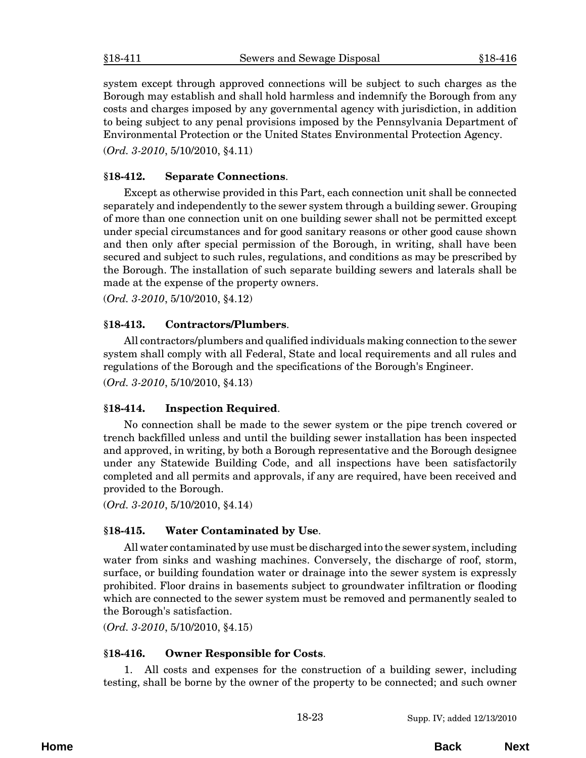<span id="page-22-0"></span>system except through approved connections will be subject to such charges as the Borough may establish and shall hold harmless and indemnify the Borough from any costs and charges imposed by any governmental agency with jurisdiction, in addition to being subject to any penal provisions imposed by the Pennsylvania Department of Environmental Protection or the United States Environmental Protection Agency.

(*Ord. 3-2010*, 5/10/2010, §4.11)

## **§18-412. Separate Connections**.

Except as otherwise provided in this Part, each connection unit shall be connected separately and independently to the sewer system through a building sewer. Grouping of more than one connection unit on one building sewer shall not be permitted except under special circumstances and for good sanitary reasons or other good cause shown and then only after special permission of the Borough, in writing, shall have been secured and subject to such rules, regulations, and conditions as may be prescribed by the Borough. The installation of such separate building sewers and laterals shall be made at the expense of the property owners.

(*Ord. 3-2010*, 5/10/2010, §4.12)

## **§18-413. Contractors/Plumbers**.

All contractors/plumbers and qualified individuals making connection to the sewer system shall comply with all Federal, State and local requirements and all rules and regulations of the Borough and the specifications of the Borough's Engineer. (*Ord. 3-2010*, 5/10/2010, §4.13)

#### **§18-414. Inspection Required**.

No connection shall be made to the sewer system or the pipe trench covered or trench backfilled unless and until the building sewer installation has been inspected and approved, in writing, by both a Borough representative and the Borough designee under any Statewide Building Code, and all inspections have been satisfactorily completed and all permits and approvals, if any are required, have been received and provided to the Borough.

(*Ord. 3-2010*, 5/10/2010, §4.14)

## **§18-415. Water Contaminated by Use**.

All water contaminated by use must be discharged into the sewer system, including water from sinks and washing machines. Conversely, the discharge of roof, storm, surface, or building foundation water or drainage into the sewer system is expressly prohibited. Floor drains in basements subject to groundwater infiltration or flooding which are connected to the sewer system must be removed and permanently sealed to the Borough's satisfaction.

(*Ord. 3-2010*, 5/10/2010, §4.15)

## **§18-416. Owner Responsible for Costs**.

1. All costs and expenses for the construction of a building sewer, including testing, shall be borne by the owner of the property to be connected; and such owner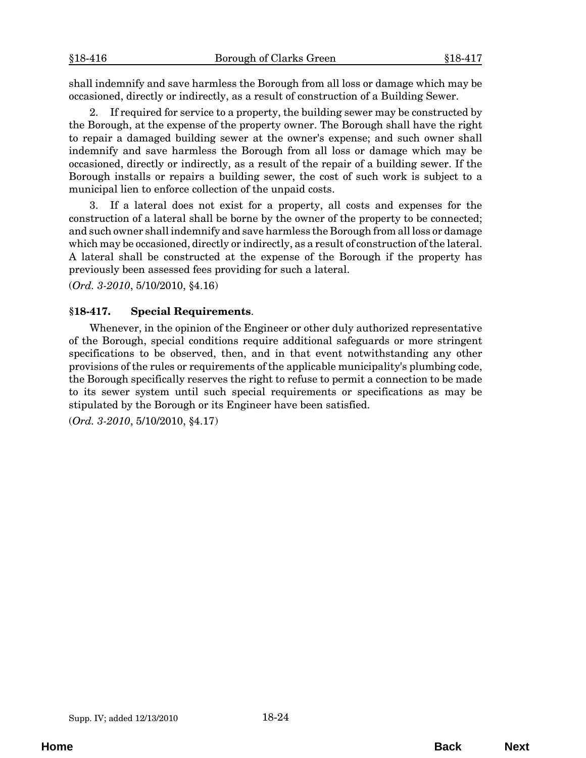<span id="page-23-0"></span>shall indemnify and save harmless the Borough from all loss or damage which may be occasioned, directly or indirectly, as a result of construction of a Building Sewer.

2. If required for service to a property, the building sewer may be constructed by the Borough, at the expense of the property owner. The Borough shall have the right to repair a damaged building sewer at the owner's expense; and such owner shall indemnify and save harmless the Borough from all loss or damage which may be occasioned, directly or indirectly, as a result of the repair of a building sewer. If the Borough installs or repairs a building sewer, the cost of such work is subject to a municipal lien to enforce collection of the unpaid costs.

3. If a lateral does not exist for a property, all costs and expenses for the construction of a lateral shall be borne by the owner of the property to be connected; and such owner shall indemnify and save harmless the Borough from all loss or damage which may be occasioned, directly or indirectly, as a result of construction of the lateral. A lateral shall be constructed at the expense of the Borough if the property has previously been assessed fees providing for such a lateral.

(*Ord. 3-2010*, 5/10/2010, §4.16)

## **§18-417. Special Requirements**.

Whenever, in the opinion of the Engineer or other duly authorized representative of the Borough, special conditions require additional safeguards or more stringent specifications to be observed, then, and in that event notwithstanding any other provisions of the rules or requirements of the applicable municipality's plumbing code, the Borough specifically reserves the right to refuse to permit a connection to be made to its sewer system until such special requirements or specifications as may be stipulated by the Borough or its Engineer have been satisfied.

(*Ord. 3-2010*, 5/10/2010, §4.17)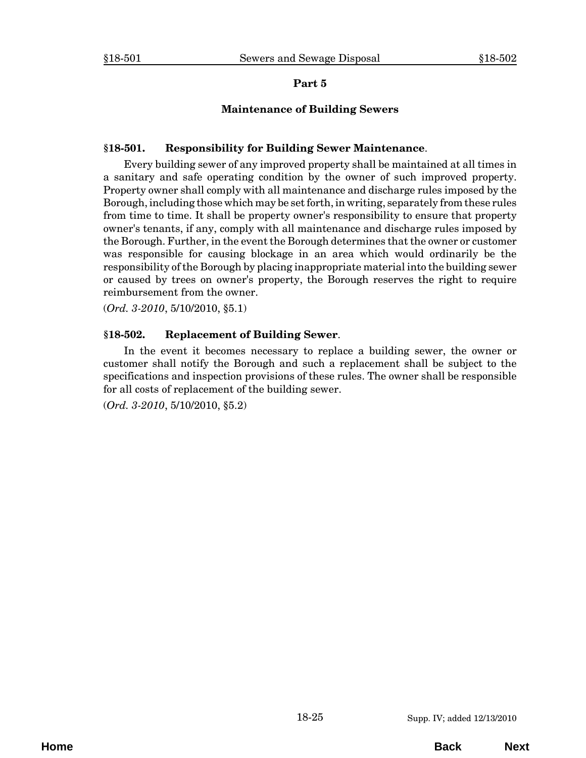## **Maintenance of Building Sewers**

## <span id="page-24-0"></span>**§18-501. Responsibility for Building Sewer Maintenance**.

Every building sewer of any improved property shall be maintained at all times in a sanitary and safe operating condition by the owner of such improved property. Property owner shall comply with all maintenance and discharge rules imposed by the Borough, including those which may be set forth, in writing, separately from these rules from time to time. It shall be property owner's responsibility to ensure that property owner's tenants, if any, comply with all maintenance and discharge rules imposed by the Borough. Further, in the event the Borough determines that the owner or customer was responsible for causing blockage in an area which would ordinarily be the responsibility of the Borough by placing inappropriate material into the building sewer or caused by trees on owner's property, the Borough reserves the right to require reimbursement from the owner.

(*Ord. 3-2010*, 5/10/2010, §5.1)

## **§18-502. Replacement of Building Sewer**.

In the event it becomes necessary to replace a building sewer, the owner or customer shall notify the Borough and such a replacement shall be subject to the specifications and inspection provisions of these rules. The owner shall be responsible for all costs of replacement of the building sewer.

(*Ord. 3-2010*, 5/10/2010, §5.2)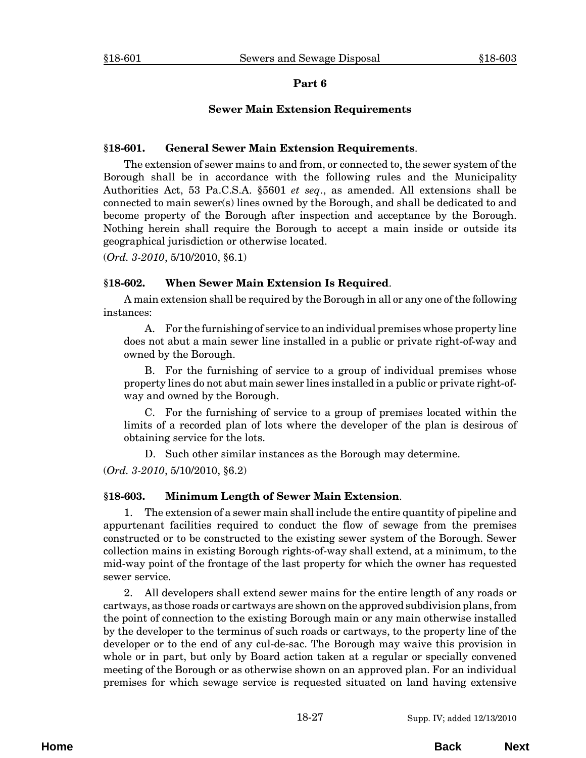## **Sewer Main Extension Requirements**

#### <span id="page-26-0"></span>**§18-601. General Sewer Main Extension Requirements**.

The extension of sewer mains to and from, or connected to, the sewer system of the Borough shall be in accordance with the following rules and the Municipality Authorities Act, 53 Pa.C.S.A. §5601 *et seq*., as amended. All extensions shall be connected to main sewer(s) lines owned by the Borough, and shall be dedicated to and become property of the Borough after inspection and acceptance by the Borough. Nothing herein shall require the Borough to accept a main inside or outside its geographical jurisdiction or otherwise located.

(*Ord. 3-2010*, 5/10/2010, §6.1)

#### **§18-602. When Sewer Main Extension Is Required**.

A main extension shall be required by the Borough in all or any one of the following instances:

A. For the furnishing of service to an individual premises whose property line does not abut a main sewer line installed in a public or private right-of-way and owned by the Borough.

B. For the furnishing of service to a group of individual premises whose property lines do not abut main sewer lines installed in a public or private right-ofway and owned by the Borough.

C. For the furnishing of service to a group of premises located within the limits of a recorded plan of lots where the developer of the plan is desirous of obtaining service for the lots.

D. Such other similar instances as the Borough may determine.

(*Ord. 3-2010*, 5/10/2010, §6.2)

## **§18-603. Minimum Length of Sewer Main Extension**.

1. The extension of a sewer main shall include the entire quantity of pipeline and appurtenant facilities required to conduct the flow of sewage from the premises constructed or to be constructed to the existing sewer system of the Borough. Sewer collection mains in existing Borough rights-of-way shall extend, at a minimum, to the mid-way point of the frontage of the last property for which the owner has requested sewer service.

2. All developers shall extend sewer mains for the entire length of any roads or cartways, as those roads or cartways are shown on the approved subdivision plans, from the point of connection to the existing Borough main or any main otherwise installed by the developer to the terminus of such roads or cartways, to the property line of the developer or to the end of any cul-de-sac. The Borough may waive this provision in whole or in part, but only by Board action taken at a regular or specially convened meeting of the Borough or as otherwise shown on an approved plan. For an individual premises for which sewage service is requested situated on land having extensive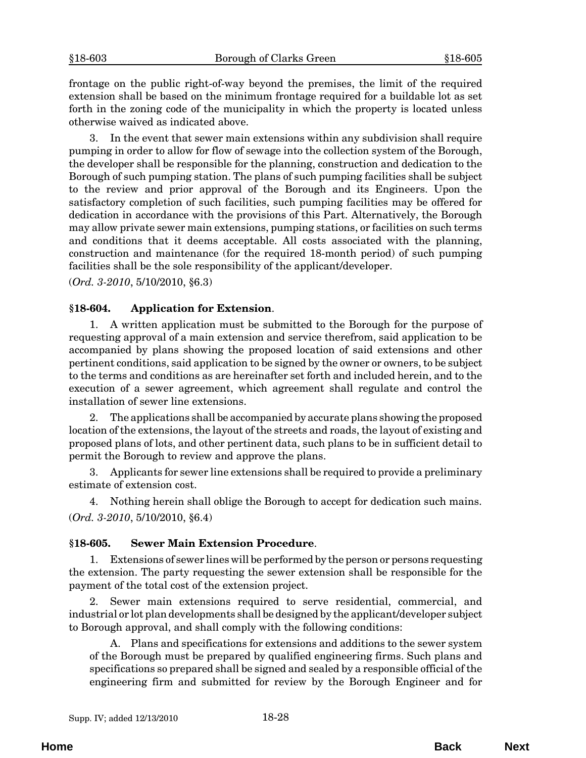<span id="page-27-0"></span>frontage on the public right-of-way beyond the premises, the limit of the required extension shall be based on the minimum frontage required for a buildable lot as set forth in the zoning code of the municipality in which the property is located unless otherwise waived as indicated above.

3. In the event that sewer main extensions within any subdivision shall require pumping in order to allow for flow of sewage into the collection system of the Borough, the developer shall be responsible for the planning, construction and dedication to the Borough of such pumping station. The plans of such pumping facilities shall be subject to the review and prior approval of the Borough and its Engineers. Upon the satisfactory completion of such facilities, such pumping facilities may be offered for dedication in accordance with the provisions of this Part. Alternatively, the Borough may allow private sewer main extensions, pumping stations, or facilities on such terms and conditions that it deems acceptable. All costs associated with the planning, construction and maintenance (for the required 18-month period) of such pumping facilities shall be the sole responsibility of the applicant/developer.

(*Ord. 3-2010*, 5/10/2010, §6.3)

#### **§18-604. Application for Extension**.

1. A written application must be submitted to the Borough for the purpose of requesting approval of a main extension and service therefrom, said application to be accompanied by plans showing the proposed location of said extensions and other pertinent conditions, said application to be signed by the owner or owners, to be subject to the terms and conditions as are hereinafter set forth and included herein, and to the execution of a sewer agreement, which agreement shall regulate and control the installation of sewer line extensions.

2. The applications shall be accompanied by accurate plans showing the proposed location of the extensions, the layout of the streets and roads, the layout of existing and proposed plans of lots, and other pertinent data, such plans to be in sufficient detail to permit the Borough to review and approve the plans.

3. Applicants for sewer line extensions shall be required to provide a preliminary estimate of extension cost.

4. Nothing herein shall oblige the Borough to accept for dedication such mains. (*Ord. 3-2010*, 5/10/2010, §6.4)

#### **§18-605. Sewer Main Extension Procedure**.

1. Extensions of sewer lines will be performed by the person or persons requesting the extension. The party requesting the sewer extension shall be responsible for the payment of the total cost of the extension project.

2. Sewer main extensions required to serve residential, commercial, and industrial or lot plan developments shall be designed by the applicant/developer subject to Borough approval, and shall comply with the following conditions:

A. Plans and specifications for extensions and additions to the sewer system of the Borough must be prepared by qualified engineering firms. Such plans and specifications so prepared shall be signed and sealed by a responsible official of the engineering firm and submitted for review by the Borough Engineer and for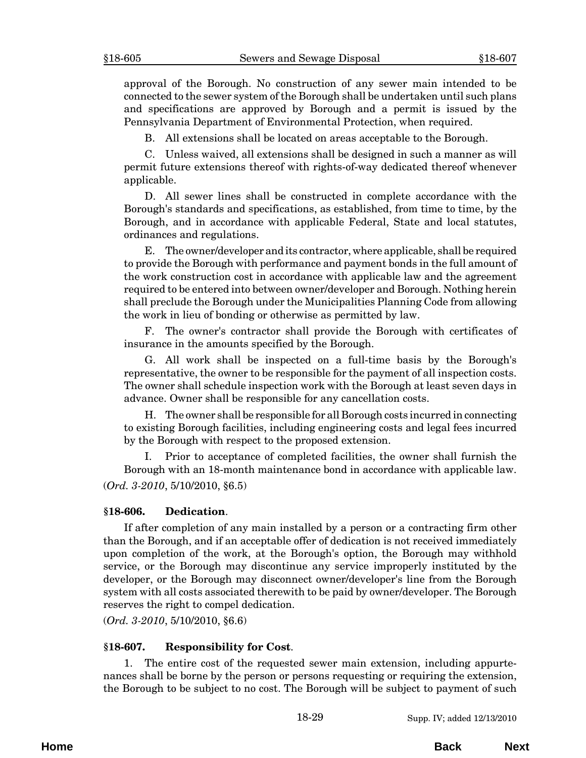<span id="page-28-0"></span>approval of the Borough. No construction of any sewer main intended to be connected to the sewer system of the Borough shall be undertaken until such plans and specifications are approved by Borough and a permit is issued by the Pennsylvania Department of Environmental Protection, when required.

B. All extensions shall be located on areas acceptable to the Borough.

C. Unless waived, all extensions shall be designed in such a manner as will permit future extensions thereof with rights-of-way dedicated thereof whenever applicable.

D. All sewer lines shall be constructed in complete accordance with the Borough's standards and specifications, as established, from time to time, by the Borough, and in accordance with applicable Federal, State and local statutes, ordinances and regulations.

E. The owner/developer and its contractor, where applicable, shall be required to provide the Borough with performance and payment bonds in the full amount of the work construction cost in accordance with applicable law and the agreement required to be entered into between owner/developer and Borough. Nothing herein shall preclude the Borough under the Municipalities Planning Code from allowing the work in lieu of bonding or otherwise as permitted by law.

F. The owner's contractor shall provide the Borough with certificates of insurance in the amounts specified by the Borough.

G. All work shall be inspected on a full-time basis by the Borough's representative, the owner to be responsible for the payment of all inspection costs. The owner shall schedule inspection work with the Borough at least seven days in advance. Owner shall be responsible for any cancellation costs.

H. The owner shall be responsible for all Borough costs incurred in connecting to existing Borough facilities, including engineering costs and legal fees incurred by the Borough with respect to the proposed extension.

I. Prior to acceptance of completed facilities, the owner shall furnish the Borough with an 18-month maintenance bond in accordance with applicable law. (*Ord. 3-2010*, 5/10/2010, §6.5)

#### **§18-606. Dedication**.

If after completion of any main installed by a person or a contracting firm other than the Borough, and if an acceptable offer of dedication is not received immediately upon completion of the work, at the Borough's option, the Borough may withhold service, or the Borough may discontinue any service improperly instituted by the developer, or the Borough may disconnect owner/developer's line from the Borough system with all costs associated therewith to be paid by owner/developer. The Borough reserves the right to compel dedication.

(*Ord. 3-2010*, 5/10/2010, §6.6)

#### **§18-607. Responsibility for Cost**.

1. The entire cost of the requested sewer main extension, including appurtenances shall be borne by the person or persons requesting or requiring the extension, the Borough to be subject to no cost. The Borough will be subject to payment of such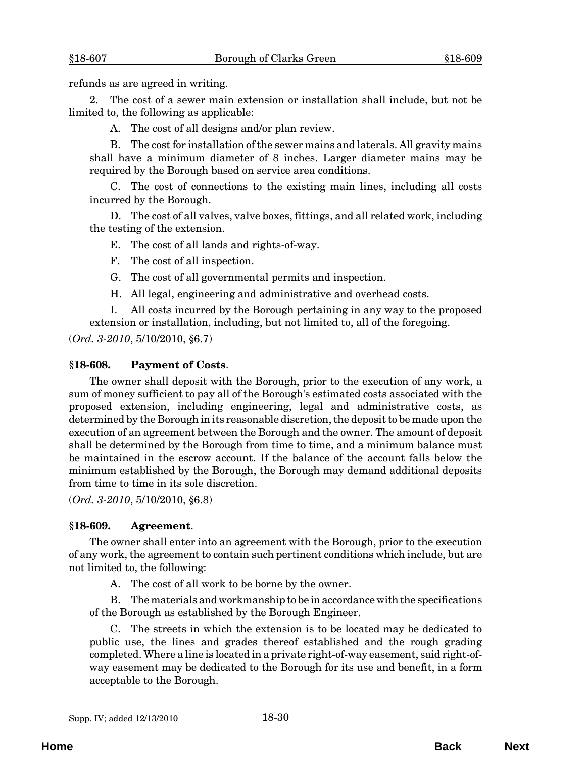<span id="page-29-0"></span>refunds as are agreed in writing.

2. The cost of a sewer main extension or installation shall include, but not be limited to, the following as applicable:

A. The cost of all designs and/or plan review.

B. The cost for installation of the sewer mains and laterals. All gravity mains shall have a minimum diameter of 8 inches. Larger diameter mains may be required by the Borough based on service area conditions.

C. The cost of connections to the existing main lines, including all costs incurred by the Borough.

D. The cost of all valves, valve boxes, fittings, and all related work, including the testing of the extension.

E. The cost of all lands and rights-of-way.

F. The cost of all inspection.

G. The cost of all governmental permits and inspection.

H. All legal, engineering and administrative and overhead costs.

I. All costs incurred by the Borough pertaining in any way to the proposed extension or installation, including, but not limited to, all of the foregoing.

(*Ord. 3-2010*, 5/10/2010, §6.7)

#### **§18-608. Payment of Costs**.

The owner shall deposit with the Borough, prior to the execution of any work, a sum of money sufficient to pay all of the Borough's estimated costs associated with the proposed extension, including engineering, legal and administrative costs, as determined by the Borough in its reasonable discretion, the deposit to be made upon the execution of an agreement between the Borough and the owner. The amount of deposit shall be determined by the Borough from time to time, and a minimum balance must be maintained in the escrow account. If the balance of the account falls below the minimum established by the Borough, the Borough may demand additional deposits from time to time in its sole discretion.

(*Ord. 3-2010*, 5/10/2010, §6.8)

#### **§18-609. Agreement**.

The owner shall enter into an agreement with the Borough, prior to the execution of any work, the agreement to contain such pertinent conditions which include, but are not limited to, the following:

A. The cost of all work to be borne by the owner.

B. The materials and workmanship to be in accordance with the specifications of the Borough as established by the Borough Engineer.

C. The streets in which the extension is to be located may be dedicated to public use, the lines and grades thereof established and the rough grading completed. Where a line is located in a private right-of-way easement, said right-ofway easement may be dedicated to the Borough for its use and benefit, in a form acceptable to the Borough.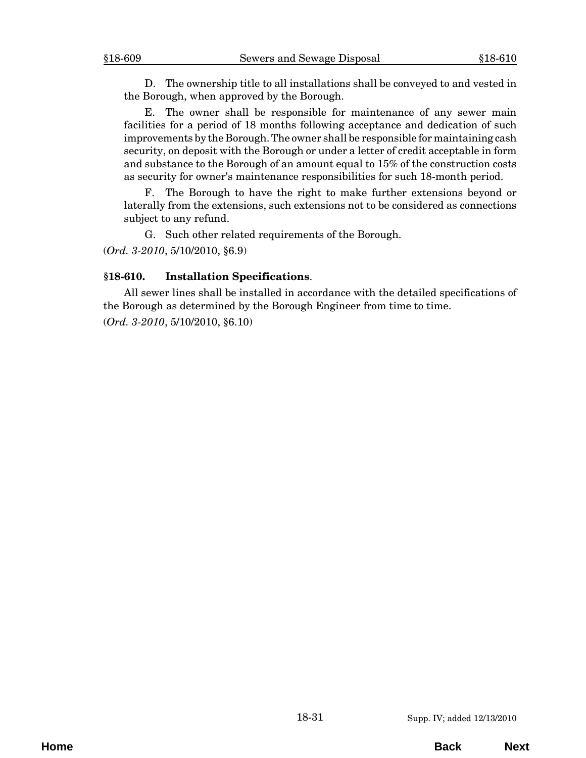<span id="page-30-0"></span>D. The ownership title to all installations shall be conveyed to and vested in the Borough, when approved by the Borough.

E. The owner shall be responsible for maintenance of any sewer main facilities for a period of 18 months following acceptance and dedication of such improvements by the Borough. The owner shall be responsible for maintaining cash security, on deposit with the Borough or under a letter of credit acceptable in form and substance to the Borough of an amount equal to 15% of the construction costs as security for owner's maintenance responsibilities for such 18-month period.

F. The Borough to have the right to make further extensions beyond or laterally from the extensions, such extensions not to be considered as connections subject to any refund.

G. Such other related requirements of the Borough.

(*Ord. 3-2010*, 5/10/2010, §6.9)

#### **§18-610. Installation Specifications**.

All sewer lines shall be installed in accordance with the detailed specifications of the Borough as determined by the Borough Engineer from time to time.

(*Ord. 3-2010*, 5/10/2010, §6.10)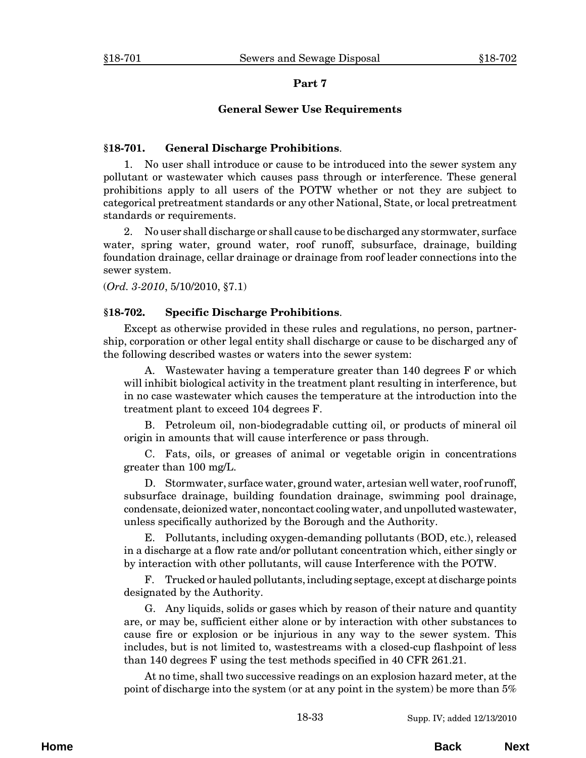#### **General Sewer Use Requirements**

#### <span id="page-32-0"></span>**§18-701. General Discharge Prohibitions**.

1. No user shall introduce or cause to be introduced into the sewer system any pollutant or wastewater which causes pass through or interference. These general prohibitions apply to all users of the POTW whether or not they are subject to categorical pretreatment standards or any other National, State, or local pretreatment standards or requirements.

2. No user shall discharge or shall cause to be discharged any stormwater, surface water, spring water, ground water, roof runoff, subsurface, drainage, building foundation drainage, cellar drainage or drainage from roof leader connections into the sewer system.

(*Ord. 3-2010*, 5/10/2010, §7.1)

#### **§18-702. Specific Discharge Prohibitions**.

Except as otherwise provided in these rules and regulations, no person, partnership, corporation or other legal entity shall discharge or cause to be discharged any of the following described wastes or waters into the sewer system:

A. Wastewater having a temperature greater than 140 degrees F or which will inhibit biological activity in the treatment plant resulting in interference, but in no case wastewater which causes the temperature at the introduction into the treatment plant to exceed 104 degrees F.

B. Petroleum oil, non-biodegradable cutting oil, or products of mineral oil origin in amounts that will cause interference or pass through.

C. Fats, oils, or greases of animal or vegetable origin in concentrations greater than 100 mg/L.

D. Stormwater, surface water, ground water, artesian well water, roof runoff, subsurface drainage, building foundation drainage, swimming pool drainage, condensate, deionized water, noncontact cooling water, and unpolluted wastewater, unless specifically authorized by the Borough and the Authority.

E. Pollutants, including oxygen-demanding pollutants (BOD, etc.), released in a discharge at a flow rate and/or pollutant concentration which, either singly or by interaction with other pollutants, will cause Interference with the POTW.

F. Trucked or hauled pollutants, including septage, except at discharge points designated by the Authority.

G. Any liquids, solids or gases which by reason of their nature and quantity are, or may be, sufficient either alone or by interaction with other substances to cause fire or explosion or be injurious in any way to the sewer system. This includes, but is not limited to, wastestreams with a closed-cup flashpoint of less than 140 degrees F using the test methods specified in 40 CFR 261.21.

At no time, shall two successive readings on an explosion hazard meter, at the point of discharge into the system (or at any point in the system) be more than 5%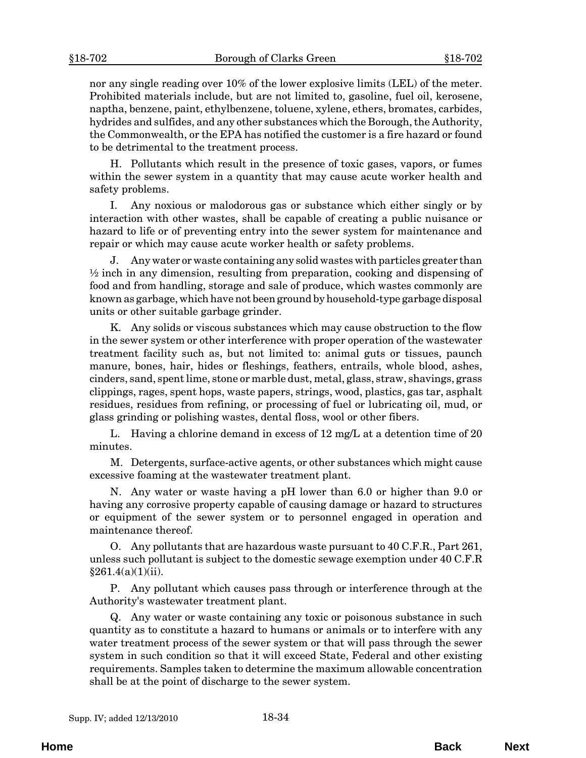nor any single reading over 10% of the lower explosive limits (LEL) of the meter. Prohibited materials include, but are not limited to, gasoline, fuel oil, kerosene, naptha, benzene, paint, ethylbenzene, toluene, xylene, ethers, bromates, carbides, hydrides and sulfides, and any other substances which the Borough, the Authority, the Commonwealth, or the EPA has notified the customer is a fire hazard or found to be detrimental to the treatment process.

H. Pollutants which result in the presence of toxic gases, vapors, or fumes within the sewer system in a quantity that may cause acute worker health and safety problems.

I. Any noxious or malodorous gas or substance which either singly or by interaction with other wastes, shall be capable of creating a public nuisance or hazard to life or of preventing entry into the sewer system for maintenance and repair or which may cause acute worker health or safety problems.

J. Any water or waste containing any solid wastes with particles greater than  $\frac{1}{2}$  inch in any dimension, resulting from preparation, cooking and dispensing of food and from handling, storage and sale of produce, which wastes commonly are known as garbage, which have not been ground by household-type garbage disposal units or other suitable garbage grinder.

K. Any solids or viscous substances which may cause obstruction to the flow in the sewer system or other interference with proper operation of the wastewater treatment facility such as, but not limited to: animal guts or tissues, paunch manure, bones, hair, hides or fleshings, feathers, entrails, whole blood, ashes, cinders, sand, spent lime, stone or marble dust, metal, glass, straw, shavings, grass clippings, rages, spent hops, waste papers, strings, wood, plastics, gas tar, asphalt residues, residues from refining, or processing of fuel or lubricating oil, mud, or glass grinding or polishing wastes, dental floss, wool or other fibers.

L. Having a chlorine demand in excess of 12 mg/L at a detention time of 20 minutes.

M. Detergents, surface-active agents, or other substances which might cause excessive foaming at the wastewater treatment plant.

N. Any water or waste having a pH lower than 6.0 or higher than 9.0 or having any corrosive property capable of causing damage or hazard to structures or equipment of the sewer system or to personnel engaged in operation and maintenance thereof.

O. Any pollutants that are hazardous waste pursuant to 40 C.F.R., Part 261, unless such pollutant is subject to the domestic sewage exemption under 40 C.F.R  $§261.4(a)(1)(ii).$ 

P. Any pollutant which causes pass through or interference through at the Authority's wastewater treatment plant.

Q. Any water or waste containing any toxic or poisonous substance in such quantity as to constitute a hazard to humans or animals or to interfere with any water treatment process of the sewer system or that will pass through the sewer system in such condition so that it will exceed State, Federal and other existing requirements. Samples taken to determine the maximum allowable concentration shall be at the point of discharge to the sewer system.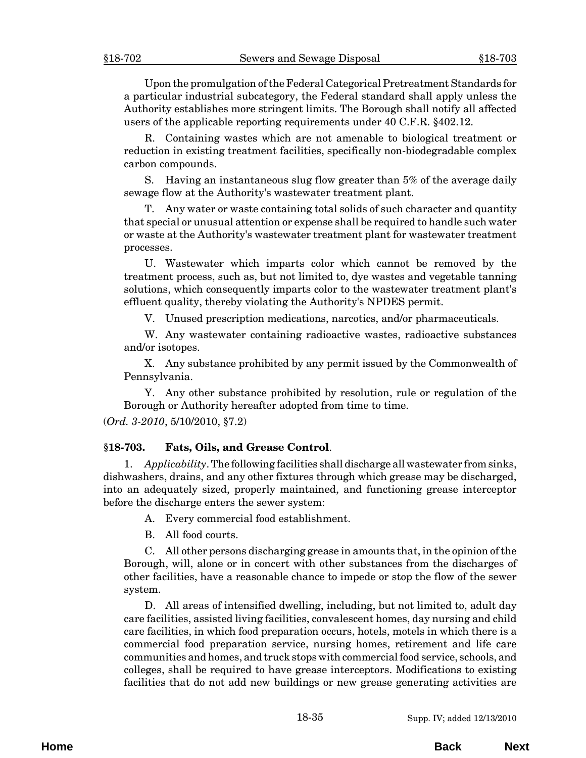<span id="page-34-0"></span>Upon the promulgation of the Federal Categorical Pretreatment Standards for a particular industrial subcategory, the Federal standard shall apply unless the Authority establishes more stringent limits. The Borough shall notify all affected users of the applicable reporting requirements under 40 C.F.R. §402.12.

R. Containing wastes which are not amenable to biological treatment or reduction in existing treatment facilities, specifically non-biodegradable complex carbon compounds.

S. Having an instantaneous slug flow greater than 5% of the average daily sewage flow at the Authority's wastewater treatment plant.

T. Any water or waste containing total solids of such character and quantity that special or unusual attention or expense shall be required to handle such water or waste at the Authority's wastewater treatment plant for wastewater treatment processes.

U. Wastewater which imparts color which cannot be removed by the treatment process, such as, but not limited to, dye wastes and vegetable tanning solutions, which consequently imparts color to the wastewater treatment plant's effluent quality, thereby violating the Authority's NPDES permit.

V. Unused prescription medications, narcotics, and/or pharmaceuticals.

W. Any wastewater containing radioactive wastes, radioactive substances and/or isotopes.

X. Any substance prohibited by any permit issued by the Commonwealth of Pennsylvania.

Y. Any other substance prohibited by resolution, rule or regulation of the Borough or Authority hereafter adopted from time to time.

(*Ord. 3-2010*, 5/10/2010, §7.2)

## **§18-703. Fats, Oils, and Grease Control**.

1. *Applicability*. The following facilities shall discharge all wastewater from sinks, dishwashers, drains, and any other fixtures through which grease may be discharged, into an adequately sized, properly maintained, and functioning grease interceptor before the discharge enters the sewer system:

A. Every commercial food establishment.

B. All food courts.

C. All other persons discharging grease in amounts that, in the opinion of the Borough, will, alone or in concert with other substances from the discharges of other facilities, have a reasonable chance to impede or stop the flow of the sewer system.

D. All areas of intensified dwelling, including, but not limited to, adult day care facilities, assisted living facilities, convalescent homes, day nursing and child care facilities, in which food preparation occurs, hotels, motels in which there is a commercial food preparation service, nursing homes, retirement and life care communities and homes, and truck stops with commercial food service, schools, and colleges, shall be required to have grease interceptors. Modifications to existing facilities that do not add new buildings or new grease generating activities are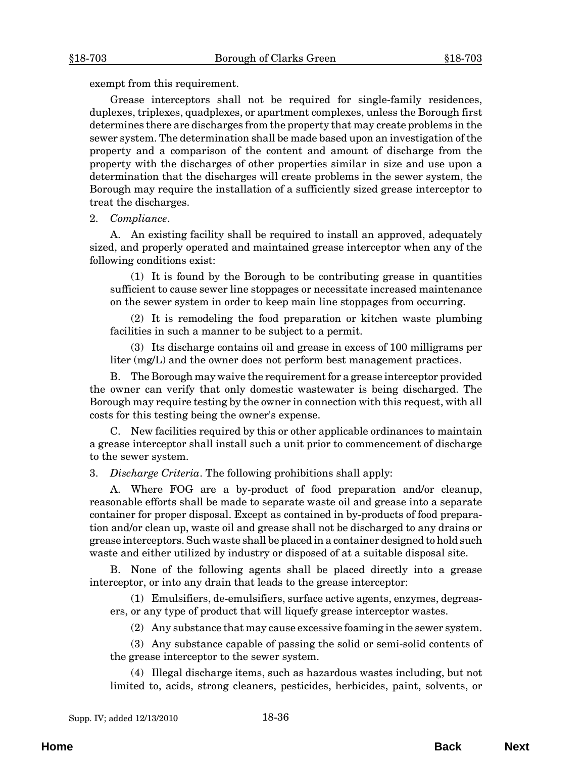exempt from this requirement.

Grease interceptors shall not be required for single-family residences, duplexes, triplexes, quadplexes, or apartment complexes, unless the Borough first determines there are discharges from the property that may create problems in the sewer system. The determination shall be made based upon an investigation of the property and a comparison of the content and amount of discharge from the property with the discharges of other properties similar in size and use upon a determination that the discharges will create problems in the sewer system, the Borough may require the installation of a sufficiently sized grease interceptor to treat the discharges.

#### 2. *Compliance*.

A. An existing facility shall be required to install an approved, adequately sized, and properly operated and maintained grease interceptor when any of the following conditions exist:

(1) It is found by the Borough to be contributing grease in quantities sufficient to cause sewer line stoppages or necessitate increased maintenance on the sewer system in order to keep main line stoppages from occurring.

(2) It is remodeling the food preparation or kitchen waste plumbing facilities in such a manner to be subject to a permit.

(3) Its discharge contains oil and grease in excess of 100 milligrams per liter (mg/L) and the owner does not perform best management practices.

B. The Borough may waive the requirement for a grease interceptor provided the owner can verify that only domestic wastewater is being discharged. The Borough may require testing by the owner in connection with this request, with all costs for this testing being the owner's expense.

C. New facilities required by this or other applicable ordinances to maintain a grease interceptor shall install such a unit prior to commencement of discharge to the sewer system.

3. *Discharge Criteria*. The following prohibitions shall apply:

A. Where FOG are a by-product of food preparation and/or cleanup, reasonable efforts shall be made to separate waste oil and grease into a separate container for proper disposal. Except as contained in by-products of food preparation and/or clean up, waste oil and grease shall not be discharged to any drains or grease interceptors. Such waste shall be placed in a container designed to hold such waste and either utilized by industry or disposed of at a suitable disposal site.

B. None of the following agents shall be placed directly into a grease interceptor, or into any drain that leads to the grease interceptor:

(1) Emulsifiers, de-emulsifiers, surface active agents, enzymes, degreasers, or any type of product that will liquefy grease interceptor wastes.

(2) Any substance that may cause excessive foaming in the sewer system.

(3) Any substance capable of passing the solid or semi-solid contents of the grease interceptor to the sewer system.

(4) Illegal discharge items, such as hazardous wastes including, but not limited to, acids, strong cleaners, pesticides, herbicides, paint, solvents, or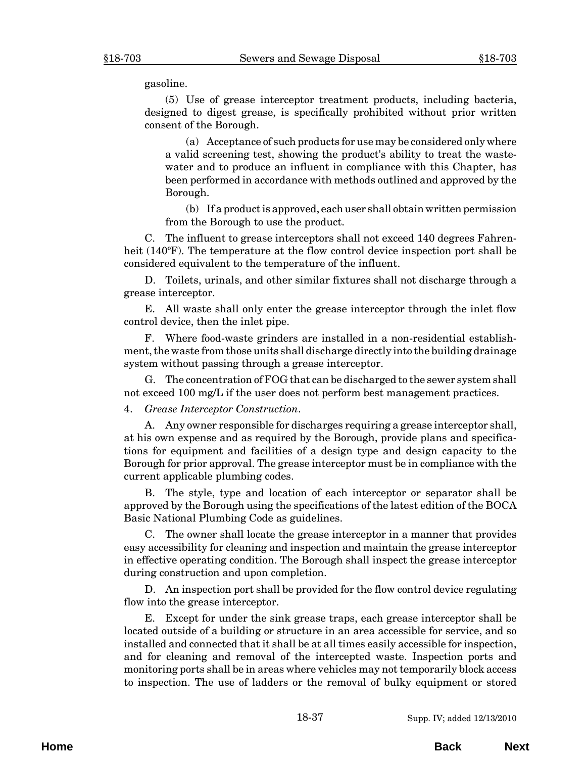gasoline.

(5) Use of grease interceptor treatment products, including bacteria, designed to digest grease, is specifically prohibited without prior written consent of the Borough.

(a) Acceptance of such products for use may be considered only where a valid screening test, showing the product's ability to treat the wastewater and to produce an influent in compliance with this Chapter, has been performed in accordance with methods outlined and approved by the Borough.

(b) If a product is approved, each user shall obtain written permission from the Borough to use the product.

C. The influent to grease interceptors shall not exceed 140 degrees Fahrenheit (140°F). The temperature at the flow control device inspection port shall be considered equivalent to the temperature of the influent.

D. Toilets, urinals, and other similar fixtures shall not discharge through a grease interceptor.

E. All waste shall only enter the grease interceptor through the inlet flow control device, then the inlet pipe.

F. Where food-waste grinders are installed in a non-residential establishment, the waste from those units shall discharge directly into the building drainage system without passing through a grease interceptor.

G. The concentration of FOG that can be discharged to the sewer system shall not exceed 100 mg/L if the user does not perform best management practices.

#### 4. *Grease Interceptor Construction*.

A. Any owner responsible for discharges requiring a grease interceptor shall, at his own expense and as required by the Borough, provide plans and specifications for equipment and facilities of a design type and design capacity to the Borough for prior approval. The grease interceptor must be in compliance with the current applicable plumbing codes.

B. The style, type and location of each interceptor or separator shall be approved by the Borough using the specifications of the latest edition of the BOCA Basic National Plumbing Code as guidelines.

C. The owner shall locate the grease interceptor in a manner that provides easy accessibility for cleaning and inspection and maintain the grease interceptor in effective operating condition. The Borough shall inspect the grease interceptor during construction and upon completion.

D. An inspection port shall be provided for the flow control device regulating flow into the grease interceptor.

E. Except for under the sink grease traps, each grease interceptor shall be located outside of a building or structure in an area accessible for service, and so installed and connected that it shall be at all times easily accessible for inspection, and for cleaning and removal of the intercepted waste. Inspection ports and monitoring ports shall be in areas where vehicles may not temporarily block access to inspection. The use of ladders or the removal of bulky equipment or stored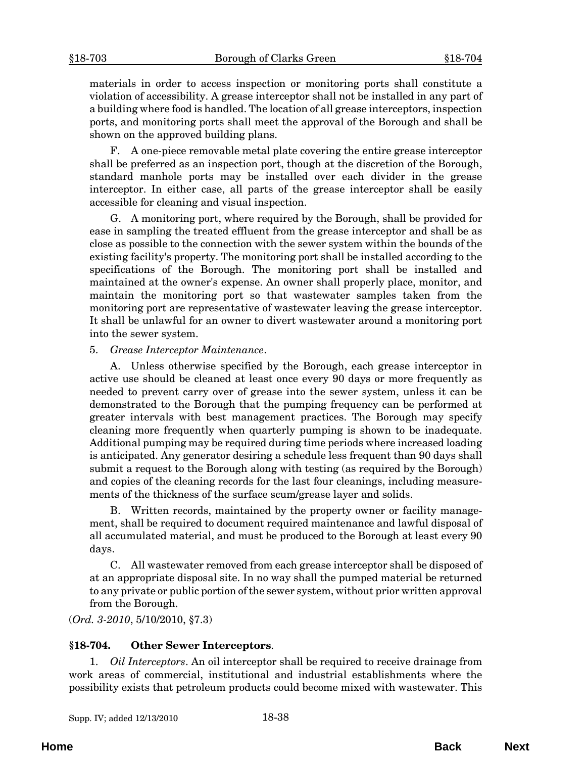<span id="page-37-0"></span>materials in order to access inspection or monitoring ports shall constitute a violation of accessibility. A grease interceptor shall not be installed in any part of a building where food is handled. The location of all grease interceptors, inspection ports, and monitoring ports shall meet the approval of the Borough and shall be shown on the approved building plans.

F. A one-piece removable metal plate covering the entire grease interceptor shall be preferred as an inspection port, though at the discretion of the Borough, standard manhole ports may be installed over each divider in the grease interceptor. In either case, all parts of the grease interceptor shall be easily accessible for cleaning and visual inspection.

G. A monitoring port, where required by the Borough, shall be provided for ease in sampling the treated effluent from the grease interceptor and shall be as close as possible to the connection with the sewer system within the bounds of the existing facility's property. The monitoring port shall be installed according to the specifications of the Borough. The monitoring port shall be installed and maintained at the owner's expense. An owner shall properly place, monitor, and maintain the monitoring port so that wastewater samples taken from the monitoring port are representative of wastewater leaving the grease interceptor. It shall be unlawful for an owner to divert wastewater around a monitoring port into the sewer system.

#### 5. *Grease Interceptor Maintenance*.

A. Unless otherwise specified by the Borough, each grease interceptor in active use should be cleaned at least once every 90 days or more frequently as needed to prevent carry over of grease into the sewer system, unless it can be demonstrated to the Borough that the pumping frequency can be performed at greater intervals with best management practices. The Borough may specify cleaning more frequently when quarterly pumping is shown to be inadequate. Additional pumping may be required during time periods where increased loading is anticipated. Any generator desiring a schedule less frequent than 90 days shall submit a request to the Borough along with testing (as required by the Borough) and copies of the cleaning records for the last four cleanings, including measurements of the thickness of the surface scum/grease layer and solids.

B. Written records, maintained by the property owner or facility management, shall be required to document required maintenance and lawful disposal of all accumulated material, and must be produced to the Borough at least every 90 days.

C. All wastewater removed from each grease interceptor shall be disposed of at an appropriate disposal site. In no way shall the pumped material be returned to any private or public portion of the sewer system, without prior written approval from the Borough.

(*Ord. 3-2010*, 5/10/2010, §7.3)

#### **§18-704. Other Sewer Interceptors**.

1. *Oil Interceptors*. An oil interceptor shall be required to receive drainage from work areas of commercial, institutional and industrial establishments where the possibility exists that petroleum products could become mixed with wastewater. This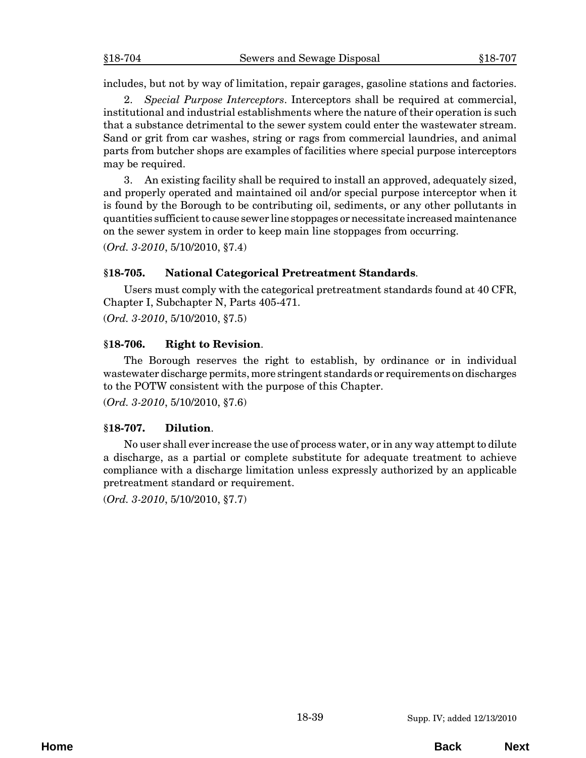<span id="page-38-0"></span>includes, but not by way of limitation, repair garages, gasoline stations and factories.

2. *Special Purpose Interceptors*. Interceptors shall be required at commercial, institutional and industrial establishments where the nature of their operation is such that a substance detrimental to the sewer system could enter the wastewater stream. Sand or grit from car washes, string or rags from commercial laundries, and animal parts from butcher shops are examples of facilities where special purpose interceptors may be required.

3. An existing facility shall be required to install an approved, adequately sized, and properly operated and maintained oil and/or special purpose interceptor when it is found by the Borough to be contributing oil, sediments, or any other pollutants in quantities sufficient to cause sewer line stoppages or necessitate increased maintenance on the sewer system in order to keep main line stoppages from occurring.

(*Ord. 3-2010*, 5/10/2010, §7.4)

## **§18-705. National Categorical Pretreatment Standards**.

Users must comply with the categorical pretreatment standards found at 40 CFR, Chapter I, Subchapter N, Parts 405-471.

(*Ord. 3-2010*, 5/10/2010, §7.5)

## **§18-706. Right to Revision**.

The Borough reserves the right to establish, by ordinance or in individual wastewater discharge permits, more stringent standards or requirements on discharges to the POTW consistent with the purpose of this Chapter.

(*Ord. 3-2010*, 5/10/2010, §7.6)

## **§18-707. Dilution**.

No user shall ever increase the use of process water, or in any way attempt to dilute a discharge, as a partial or complete substitute for adequate treatment to achieve compliance with a discharge limitation unless expressly authorized by an applicable pretreatment standard or requirement.

(*Ord. 3-2010*, 5/10/2010, §7.7)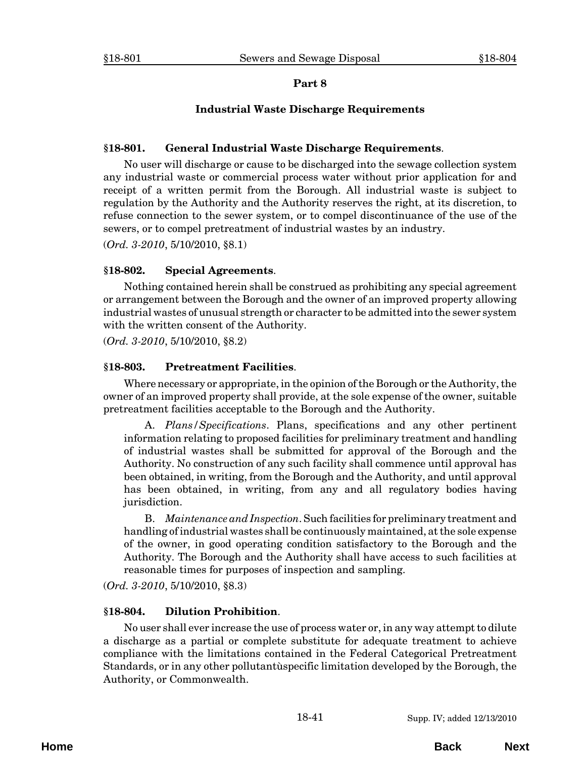## **Industrial Waste Discharge Requirements**

#### <span id="page-40-0"></span>**§18-801. General Industrial Waste Discharge Requirements**.

No user will discharge or cause to be discharged into the sewage collection system any industrial waste or commercial process water without prior application for and receipt of a written permit from the Borough. All industrial waste is subject to regulation by the Authority and the Authority reserves the right, at its discretion, to refuse connection to the sewer system, or to compel discontinuance of the use of the sewers, or to compel pretreatment of industrial wastes by an industry.

(*Ord. 3-2010*, 5/10/2010, §8.1)

#### **§18-802. Special Agreements**.

Nothing contained herein shall be construed as prohibiting any special agreement or arrangement between the Borough and the owner of an improved property allowing industrial wastes of unusual strength or character to be admitted into the sewer system with the written consent of the Authority.

(*Ord. 3-2010*, 5/10/2010, §8.2)

#### **§18-803. Pretreatment Facilities**.

Where necessary or appropriate, in the opinion of the Borough or the Authority, the owner of an improved property shall provide, at the sole expense of the owner, suitable pretreatment facilities acceptable to the Borough and the Authority.

A. *Plans/Specifications*. Plans, specifications and any other pertinent information relating to proposed facilities for preliminary treatment and handling of industrial wastes shall be submitted for approval of the Borough and the Authority. No construction of any such facility shall commence until approval has been obtained, in writing, from the Borough and the Authority, and until approval has been obtained, in writing, from any and all regulatory bodies having jurisdiction.

B. *Maintenance and Inspection*. Such facilities for preliminary treatment and handling of industrial wastes shall be continuously maintained, at the sole expense of the owner, in good operating condition satisfactory to the Borough and the Authority. The Borough and the Authority shall have access to such facilities at reasonable times for purposes of inspection and sampling.

(*Ord. 3-2010*, 5/10/2010, §8.3)

#### **§18-804. Dilution Prohibition**.

No user shall ever increase the use of process water or, in any way attempt to dilute a discharge as a partial or complete substitute for adequate treatment to achieve compliance with the limitations contained in the Federal Categorical Pretreatment Standards, or in any other pollutantùspecific limitation developed by the Borough, the Authority, or Commonwealth.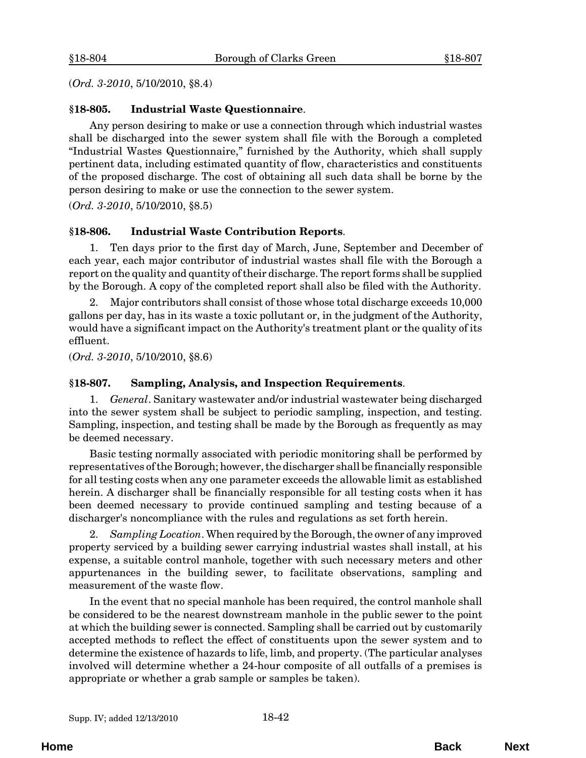<span id="page-41-0"></span>(*Ord. 3-2010*, 5/10/2010, §8.4)

#### **§18-805. Industrial Waste Questionnaire**.

Any person desiring to make or use a connection through which industrial wastes shall be discharged into the sewer system shall file with the Borough a completed "Industrial Wastes Questionnaire," furnished by the Authority, which shall supply pertinent data, including estimated quantity of flow, characteristics and constituents of the proposed discharge. The cost of obtaining all such data shall be borne by the person desiring to make or use the connection to the sewer system.

(*Ord. 3-2010*, 5/10/2010, §8.5)

#### **§18-806. Industrial Waste Contribution Reports**.

1. Ten days prior to the first day of March, June, September and December of each year, each major contributor of industrial wastes shall file with the Borough a report on the quality and quantity of their discharge. The report forms shall be supplied by the Borough. A copy of the completed report shall also be filed with the Authority.

2. Major contributors shall consist of those whose total discharge exceeds 10,000 gallons per day, has in its waste a toxic pollutant or, in the judgment of the Authority, would have a significant impact on the Authority's treatment plant or the quality of its effluent.

(*Ord. 3-2010*, 5/10/2010, §8.6)

#### **§18-807. Sampling, Analysis, and Inspection Requirements**.

1. *General*. Sanitary wastewater and/or industrial wastewater being discharged into the sewer system shall be subject to periodic sampling, inspection, and testing. Sampling, inspection, and testing shall be made by the Borough as frequently as may be deemed necessary.

Basic testing normally associated with periodic monitoring shall be performed by representatives of the Borough; however, the discharger shall be financially responsible for all testing costs when any one parameter exceeds the allowable limit as established herein. A discharger shall be financially responsible for all testing costs when it has been deemed necessary to provide continued sampling and testing because of a discharger's noncompliance with the rules and regulations as set forth herein.

2. *Sampling Location*. When required by the Borough, the owner of any improved property serviced by a building sewer carrying industrial wastes shall install, at his expense, a suitable control manhole, together with such necessary meters and other appurtenances in the building sewer, to facilitate observations, sampling and measurement of the waste flow.

In the event that no special manhole has been required, the control manhole shall be considered to be the nearest downstream manhole in the public sewer to the point at which the building sewer is connected. Sampling shall be carried out by customarily accepted methods to reflect the effect of constituents upon the sewer system and to determine the existence of hazards to life, limb, and property. (The particular analyses involved will determine whether a 24-hour composite of all outfalls of a premises is appropriate or whether a grab sample or samples be taken).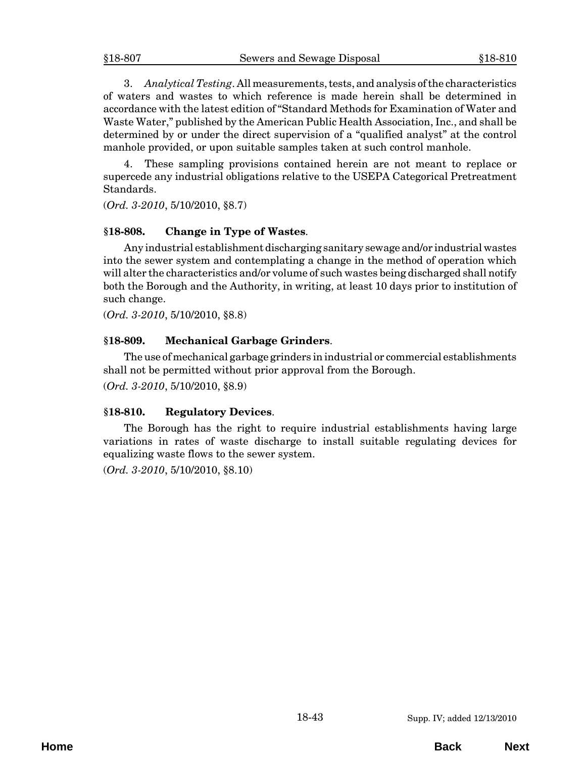<span id="page-42-0"></span>3. *Analytical Testing*. All measurements, tests, and analysis of the characteristics of waters and wastes to which reference is made herein shall be determined in accordance with the latest edition of "Standard Methods for Examination of Water and Waste Water," published by the American Public Health Association, Inc., and shall be determined by or under the direct supervision of a "qualified analyst" at the control manhole provided, or upon suitable samples taken at such control manhole.

4. These sampling provisions contained herein are not meant to replace or supercede any industrial obligations relative to the USEPA Categorical Pretreatment Standards.

(*Ord. 3-2010*, 5/10/2010, §8.7)

#### **§18-808. Change in Type of Wastes**.

Any industrial establishment discharging sanitary sewage and/or industrial wastes into the sewer system and contemplating a change in the method of operation which will alter the characteristics and/or volume of such wastes being discharged shall notify both the Borough and the Authority, in writing, at least 10 days prior to institution of such change.

(*Ord. 3-2010*, 5/10/2010, §8.8)

## **§18-809. Mechanical Garbage Grinders**.

The use of mechanical garbage grinders in industrial or commercial establishments shall not be permitted without prior approval from the Borough.

(*Ord. 3-2010*, 5/10/2010, §8.9)

#### **§18-810. Regulatory Devices**.

The Borough has the right to require industrial establishments having large variations in rates of waste discharge to install suitable regulating devices for equalizing waste flows to the sewer system.

(*Ord. 3-2010*, 5/10/2010, §8.10)

**Home Back Next**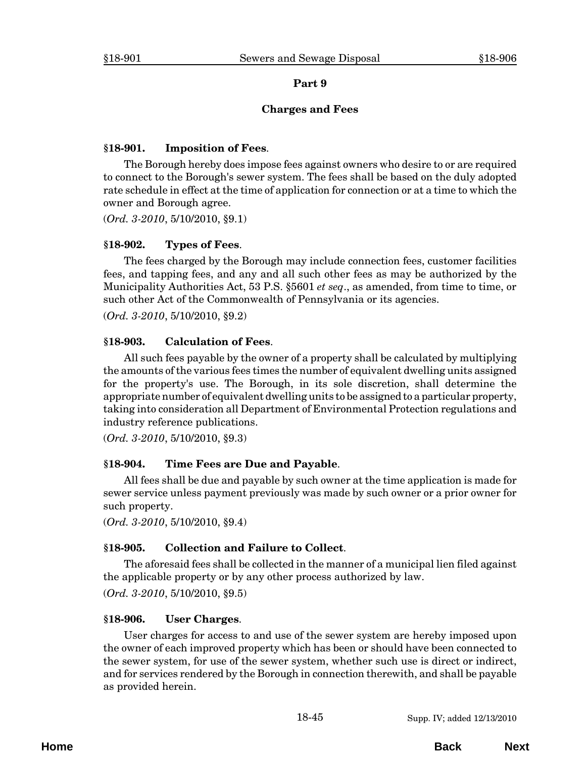#### **Charges and Fees**

## <span id="page-44-0"></span>**§18-901. Imposition of Fees**.

The Borough hereby does impose fees against owners who desire to or are required to connect to the Borough's sewer system. The fees shall be based on the duly adopted rate schedule in effect at the time of application for connection or at a time to which the owner and Borough agree.

(*Ord. 3-2010*, 5/10/2010, §9.1)

## **§18-902. Types of Fees**.

The fees charged by the Borough may include connection fees, customer facilities fees, and tapping fees, and any and all such other fees as may be authorized by the Municipality Authorities Act, 53 P.S. §5601 *et seq*., as amended, from time to time, or such other Act of the Commonwealth of Pennsylvania or its agencies.

(*Ord. 3-2010*, 5/10/2010, §9.2)

## **§18-903. Calculation of Fees**.

All such fees payable by the owner of a property shall be calculated by multiplying the amounts of the various fees times the number of equivalent dwelling units assigned for the property's use. The Borough, in its sole discretion, shall determine the appropriate number of equivalent dwelling units to be assigned to a particular property, taking into consideration all Department of Environmental Protection regulations and industry reference publications.

(*Ord. 3-2010*, 5/10/2010, §9.3)

## **§18-904. Time Fees are Due and Payable**.

All fees shall be due and payable by such owner at the time application is made for sewer service unless payment previously was made by such owner or a prior owner for such property.

(*Ord. 3-2010*, 5/10/2010, §9.4)

## **§18-905. Collection and Failure to Collect**.

The aforesaid fees shall be collected in the manner of a municipal lien filed against the applicable property or by any other process authorized by law.

(*Ord. 3-2010*, 5/10/2010, §9.5)

## **§18-906. User Charges**.

User charges for access to and use of the sewer system are hereby imposed upon the owner of each improved property which has been or should have been connected to the sewer system, for use of the sewer system, whether such use is direct or indirect, and for services rendered by the Borough in connection therewith, and shall be payable as provided herein.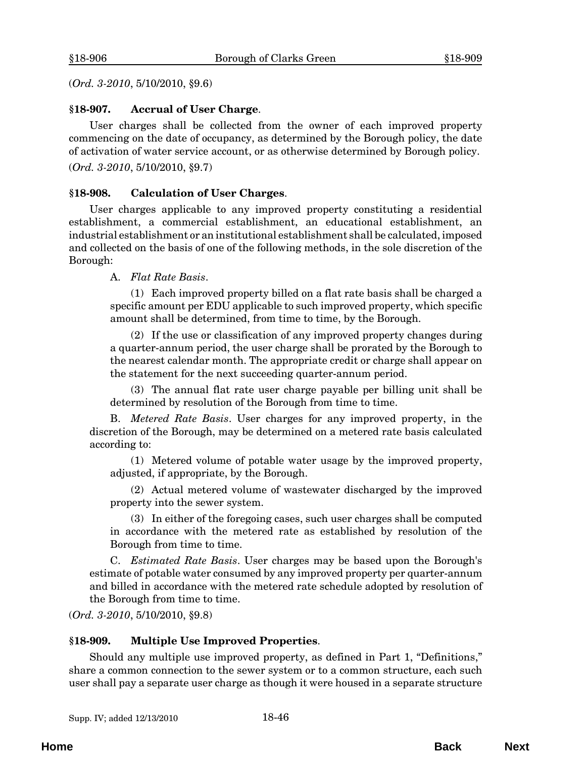<span id="page-45-0"></span>(*Ord. 3-2010*, 5/10/2010, §9.6)

#### **§18-907. Accrual of User Charge**.

User charges shall be collected from the owner of each improved property commencing on the date of occupancy, as determined by the Borough policy, the date of activation of water service account, or as otherwise determined by Borough policy. (*Ord. 3-2010*, 5/10/2010, §9.7)

#### **§18-908. Calculation of User Charges**.

User charges applicable to any improved property constituting a residential establishment, a commercial establishment, an educational establishment, an industrial establishment or an institutional establishment shall be calculated, imposed and collected on the basis of one of the following methods, in the sole discretion of the Borough:

A. *Flat Rate Basis*.

(1) Each improved property billed on a flat rate basis shall be charged a specific amount per EDU applicable to such improved property, which specific amount shall be determined, from time to time, by the Borough.

(2) If the use or classification of any improved property changes during a quarter-annum period, the user charge shall be prorated by the Borough to the nearest calendar month. The appropriate credit or charge shall appear on the statement for the next succeeding quarter-annum period.

(3) The annual flat rate user charge payable per billing unit shall be determined by resolution of the Borough from time to time.

B. *Metered Rate Basis*. User charges for any improved property, in the discretion of the Borough, may be determined on a metered rate basis calculated according to:

(1) Metered volume of potable water usage by the improved property, adjusted, if appropriate, by the Borough.

(2) Actual metered volume of wastewater discharged by the improved property into the sewer system.

(3) In either of the foregoing cases, such user charges shall be computed in accordance with the metered rate as established by resolution of the Borough from time to time.

C. *Estimated Rate Basis*. User charges may be based upon the Borough's estimate of potable water consumed by any improved property per quarter-annum and billed in accordance with the metered rate schedule adopted by resolution of the Borough from time to time.

(*Ord. 3-2010*, 5/10/2010, §9.8)

#### **§18-909. Multiple Use Improved Properties**.

Should any multiple use improved property, as defined in Part 1, "Definitions," share a common connection to the sewer system or to a common structure, each such user shall pay a separate user charge as though it were housed in a separate structure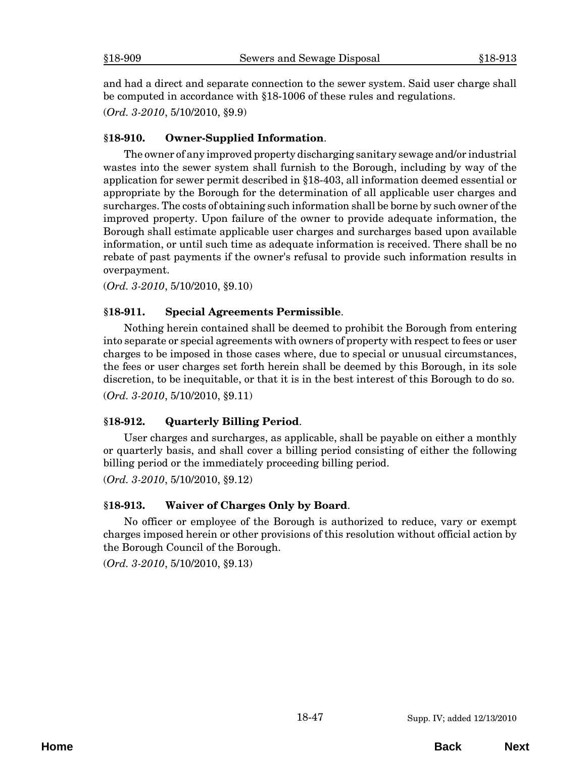<span id="page-46-0"></span>and had a direct and separate connection to the sewer system. Said user charge shall be computed in accordance with §18-1006 of these rules and regulations.

(*Ord. 3-2010*, 5/10/2010, §9.9)

#### **§18-910. Owner-Supplied Information**.

The owner of any improved property discharging sanitary sewage and/or industrial wastes into the sewer system shall furnish to the Borough, including by way of the application for sewer permit described in §18-403, all information deemed essential or appropriate by the Borough for the determination of all applicable user charges and surcharges. The costs of obtaining such information shall be borne by such owner of the improved property. Upon failure of the owner to provide adequate information, the Borough shall estimate applicable user charges and surcharges based upon available information, or until such time as adequate information is received. There shall be no rebate of past payments if the owner's refusal to provide such information results in overpayment.

(*Ord. 3-2010*, 5/10/2010, §9.10)

## **§18-911. Special Agreements Permissible**.

Nothing herein contained shall be deemed to prohibit the Borough from entering into separate or special agreements with owners of property with respect to fees or user charges to be imposed in those cases where, due to special or unusual circumstances, the fees or user charges set forth herein shall be deemed by this Borough, in its sole discretion, to be inequitable, or that it is in the best interest of this Borough to do so. (*Ord. 3-2010*, 5/10/2010, §9.11)

#### **§18-912. Quarterly Billing Period**.

User charges and surcharges, as applicable, shall be payable on either a monthly or quarterly basis, and shall cover a billing period consisting of either the following billing period or the immediately proceeding billing period.

(*Ord. 3-2010*, 5/10/2010, §9.12)

#### **§18-913. Waiver of Charges Only by Board**.

No officer or employee of the Borough is authorized to reduce, vary or exempt charges imposed herein or other provisions of this resolution without official action by the Borough Council of the Borough.

(*Ord. 3-2010*, 5/10/2010, §9.13)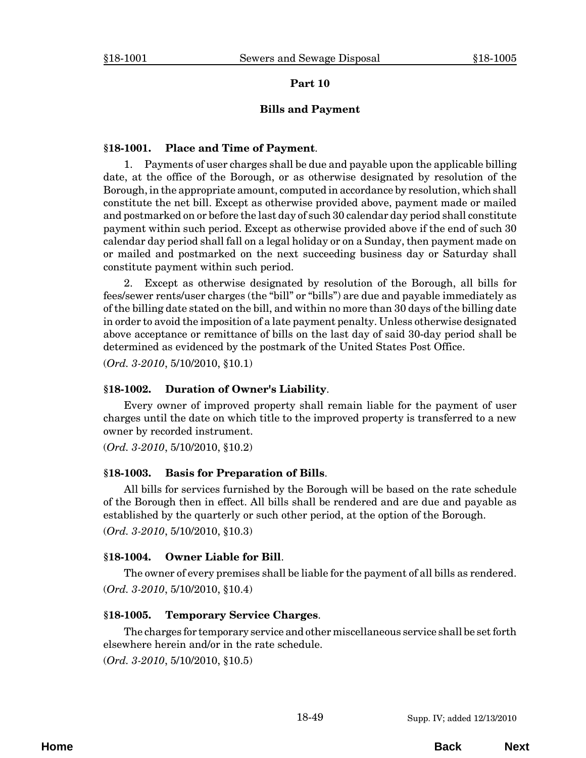#### **Bills and Payment**

#### <span id="page-48-0"></span>**§18-1001. Place and Time of Payment**.

1. Payments of user charges shall be due and payable upon the applicable billing date, at the office of the Borough, or as otherwise designated by resolution of the Borough, in the appropriate amount, computed in accordance by resolution, which shall constitute the net bill. Except as otherwise provided above, payment made or mailed and postmarked on or before the last day of such 30 calendar day period shall constitute payment within such period. Except as otherwise provided above if the end of such 30 calendar day period shall fall on a legal holiday or on a Sunday, then payment made on or mailed and postmarked on the next succeeding business day or Saturday shall constitute payment within such period.

2. Except as otherwise designated by resolution of the Borough, all bills for fees/sewer rents/user charges (the "bill" or "bills") are due and payable immediately as of the billing date stated on the bill, and within no more than 30 days of the billing date in order to avoid the imposition of a late payment penalty. Unless otherwise designated above acceptance or remittance of bills on the last day of said 30-day period shall be determined as evidenced by the postmark of the United States Post Office.

(*Ord. 3-2010*, 5/10/2010, §10.1)

#### **§18-1002. Duration of Owner's Liability**.

Every owner of improved property shall remain liable for the payment of user charges until the date on which title to the improved property is transferred to a new owner by recorded instrument.

(*Ord. 3-2010*, 5/10/2010, §10.2)

#### **§18-1003. Basis for Preparation of Bills**.

All bills for services furnished by the Borough will be based on the rate schedule of the Borough then in effect. All bills shall be rendered and are due and payable as established by the quarterly or such other period, at the option of the Borough.

(*Ord. 3-2010*, 5/10/2010, §10.3)

#### **§18-1004. Owner Liable for Bill**.

The owner of every premises shall be liable for the payment of all bills as rendered. (*Ord. 3-2010*, 5/10/2010, §10.4)

#### **§18-1005. Temporary Service Charges**.

The charges for temporary service and other miscellaneous service shall be set forth elsewhere herein and/or in the rate schedule.

(*Ord. 3-2010*, 5/10/2010, §10.5)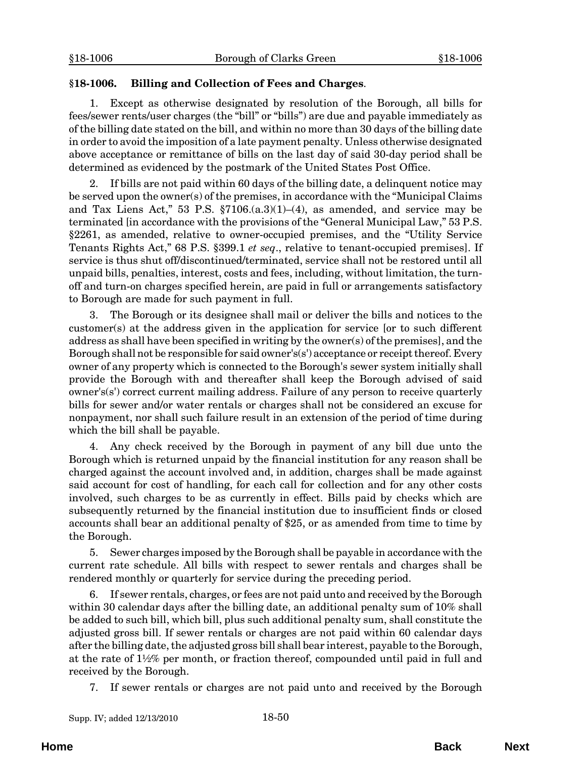### <span id="page-49-0"></span>**§18-1006. Billing and Collection of Fees and Charges**.

1. Except as otherwise designated by resolution of the Borough, all bills for fees/sewer rents/user charges (the "bill" or "bills") are due and payable immediately as of the billing date stated on the bill, and within no more than 30 days of the billing date in order to avoid the imposition of a late payment penalty. Unless otherwise designated above acceptance or remittance of bills on the last day of said 30-day period shall be determined as evidenced by the postmark of the United States Post Office.

2. If bills are not paid within 60 days of the billing date, a delinquent notice may be served upon the owner(s) of the premises, in accordance with the "Municipal Claims and Tax Liens Act," 53 P.S.  $$7106(a.3)(1)–(4)$ , as amended, and service may be terminated [in accordance with the provisions of the "General Municipal Law," 53 P.S. §2261, as amended, relative to owner-occupied premises, and the "Utility Service Tenants Rights Act," 68 P.S. §399.1 *et seq*., relative to tenant-occupied premises]. If service is thus shut off/discontinued/terminated, service shall not be restored until all unpaid bills, penalties, interest, costs and fees, including, without limitation, the turnoff and turn-on charges specified herein, are paid in full or arrangements satisfactory to Borough are made for such payment in full.

The Borough or its designee shall mail or deliver the bills and notices to the customer(s) at the address given in the application for service [or to such different address as shall have been specified in writing by the owner(s) of the premises], and the Borough shall not be responsible for said owner's(s') acceptance or receipt thereof. Every owner of any property which is connected to the Borough's sewer system initially shall provide the Borough with and thereafter shall keep the Borough advised of said owner's(s') correct current mailing address. Failure of any person to receive quarterly bills for sewer and/or water rentals or charges shall not be considered an excuse for nonpayment, nor shall such failure result in an extension of the period of time during which the bill shall be payable.

4. Any check received by the Borough in payment of any bill due unto the Borough which is returned unpaid by the financial institution for any reason shall be charged against the account involved and, in addition, charges shall be made against said account for cost of handling, for each call for collection and for any other costs involved, such charges to be as currently in effect. Bills paid by checks which are subsequently returned by the financial institution due to insufficient finds or closed accounts shall bear an additional penalty of \$25, or as amended from time to time by the Borough.

5. Sewer charges imposed by the Borough shall be payable in accordance with the current rate schedule. All bills with respect to sewer rentals and charges shall be rendered monthly or quarterly for service during the preceding period.

6. If sewer rentals, charges, or fees are not paid unto and received by the Borough within 30 calendar days after the billing date, an additional penalty sum of 10% shall be added to such bill, which bill, plus such additional penalty sum, shall constitute the adjusted gross bill. If sewer rentals or charges are not paid within 60 calendar days after the billing date, the adjusted gross bill shall bear interest, payable to the Borough, at the rate of 1½% per month, or fraction thereof, compounded until paid in full and received by the Borough.

7. If sewer rentals or charges are not paid unto and received by the Borough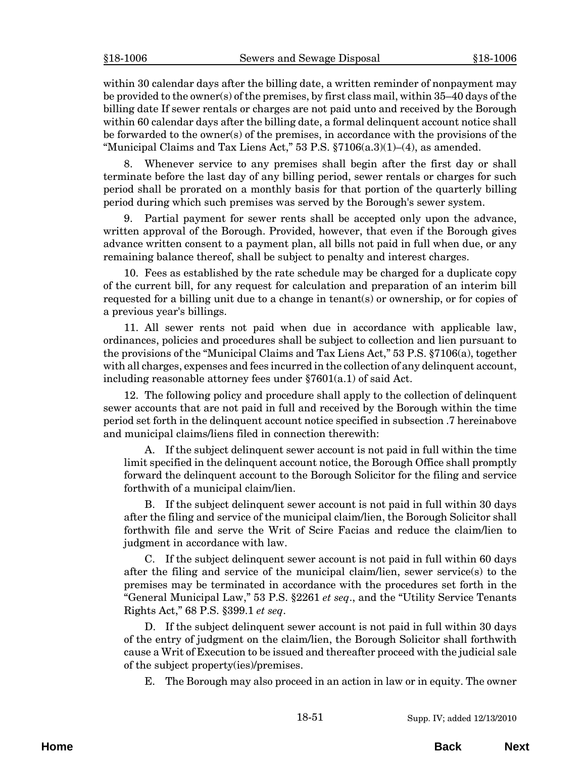within 30 calendar days after the billing date, a written reminder of nonpayment may be provided to the owner(s) of the premises, by first class mail, within 35–40 days of the billing date If sewer rentals or charges are not paid unto and received by the Borough within 60 calendar days after the billing date, a formal delinquent account notice shall be forwarded to the owner(s) of the premises, in accordance with the provisions of the "Municipal Claims and Tax Liens Act," 53 P.S.  $\S7106(a.3)(1)$ –(4), as amended.

8. Whenever service to any premises shall begin after the first day or shall terminate before the last day of any billing period, sewer rentals or charges for such period shall be prorated on a monthly basis for that portion of the quarterly billing period during which such premises was served by the Borough's sewer system.

9. Partial payment for sewer rents shall be accepted only upon the advance, written approval of the Borough. Provided, however, that even if the Borough gives advance written consent to a payment plan, all bills not paid in full when due, or any remaining balance thereof, shall be subject to penalty and interest charges.

10. Fees as established by the rate schedule may be charged for a duplicate copy of the current bill, for any request for calculation and preparation of an interim bill requested for a billing unit due to a change in tenant(s) or ownership, or for copies of a previous year's billings.

11. All sewer rents not paid when due in accordance with applicable law, ordinances, policies and procedures shall be subject to collection and lien pursuant to the provisions of the "Municipal Claims and Tax Liens Act," 53 P.S. §7106(a), together with all charges, expenses and fees incurred in the collection of any delinquent account, including reasonable attorney fees under §7601(a.1) of said Act.

12. The following policy and procedure shall apply to the collection of delinquent sewer accounts that are not paid in full and received by the Borough within the time period set forth in the delinquent account notice specified in subsection .7 hereinabove and municipal claims/liens filed in connection therewith:

A. If the subject delinquent sewer account is not paid in full within the time limit specified in the delinquent account notice, the Borough Office shall promptly forward the delinquent account to the Borough Solicitor for the filing and service forthwith of a municipal claim/lien.

B. If the subject delinquent sewer account is not paid in full within 30 days after the filing and service of the municipal claim/lien, the Borough Solicitor shall forthwith file and serve the Writ of Scire Facias and reduce the claim/lien to judgment in accordance with law.

C. If the subject delinquent sewer account is not paid in full within 60 days after the filing and service of the municipal claim/lien, sewer service(s) to the premises may be terminated in accordance with the procedures set forth in the "General Municipal Law," 53 P.S. §2261 *et seq*., and the "Utility Service Tenants Rights Act," 68 P.S. §399.1 *et seq*.

D. If the subject delinquent sewer account is not paid in full within 30 days of the entry of judgment on the claim/lien, the Borough Solicitor shall forthwith cause a Writ of Execution to be issued and thereafter proceed with the judicial sale of the subject property(ies)/premises.

E. The Borough may also proceed in an action in law or in equity. The owner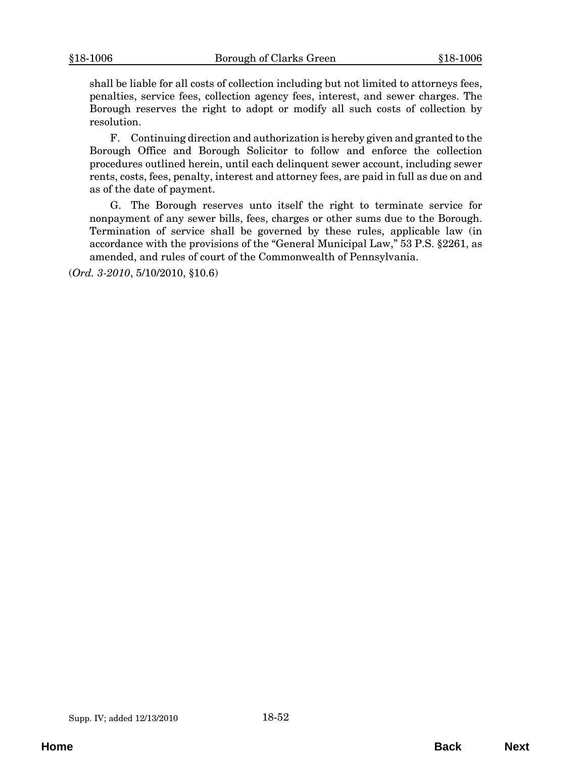shall be liable for all costs of collection including but not limited to attorneys fees, penalties, service fees, collection agency fees, interest, and sewer charges. The Borough reserves the right to adopt or modify all such costs of collection by resolution.

F. Continuing direction and authorization is hereby given and granted to the Borough Office and Borough Solicitor to follow and enforce the collection procedures outlined herein, until each delinquent sewer account, including sewer rents, costs, fees, penalty, interest and attorney fees, are paid in full as due on and as of the date of payment.

G. The Borough reserves unto itself the right to terminate service for nonpayment of any sewer bills, fees, charges or other sums due to the Borough. Termination of service shall be governed by these rules, applicable law (in accordance with the provisions of the "General Municipal Law," 53 P.S. §2261, as amended, and rules of court of the Commonwealth of Pennsylvania.

(*Ord. 3-2010*, 5/10/2010, §10.6)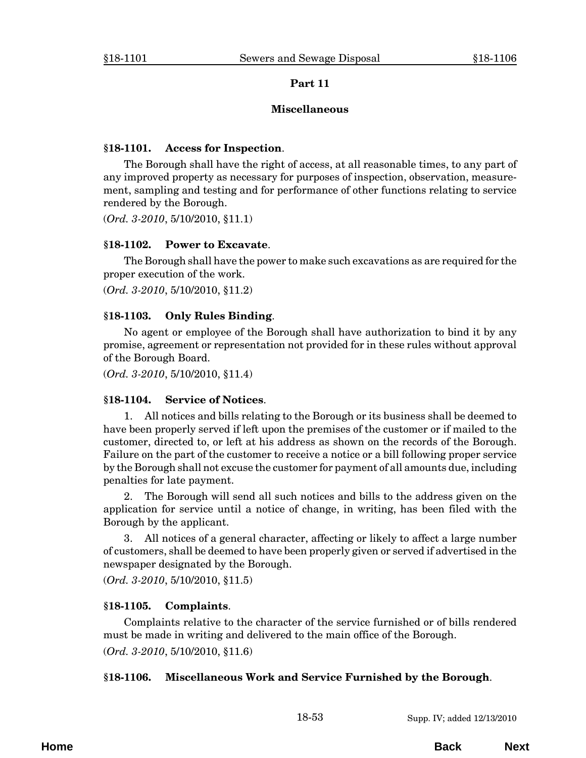## **Miscellaneous**

## <span id="page-52-0"></span>**§18-1101. Access for Inspection**.

The Borough shall have the right of access, at all reasonable times, to any part of any improved property as necessary for purposes of inspection, observation, measurement, sampling and testing and for performance of other functions relating to service rendered by the Borough.

(*Ord. 3-2010*, 5/10/2010, §11.1)

## **§18-1102. Power to Excavate**.

The Borough shall have the power to make such excavations as are required for the proper execution of the work.

(*Ord. 3-2010*, 5/10/2010, §11.2)

## **§18-1103. Only Rules Binding**.

No agent or employee of the Borough shall have authorization to bind it by any promise, agreement or representation not provided for in these rules without approval of the Borough Board.

(*Ord. 3-2010*, 5/10/2010, §11.4)

## **§18-1104. Service of Notices**.

1. All notices and bills relating to the Borough or its business shall be deemed to have been properly served if left upon the premises of the customer or if mailed to the customer, directed to, or left at his address as shown on the records of the Borough. Failure on the part of the customer to receive a notice or a bill following proper service by the Borough shall not excuse the customer for payment of all amounts due, including penalties for late payment.

2. The Borough will send all such notices and bills to the address given on the application for service until a notice of change, in writing, has been filed with the Borough by the applicant.

3. All notices of a general character, affecting or likely to affect a large number of customers, shall be deemed to have been properly given or served if advertised in the newspaper designated by the Borough.

(*Ord. 3-2010*, 5/10/2010, §11.5)

## **§18-1105. Complaints**.

Complaints relative to the character of the service furnished or of bills rendered must be made in writing and delivered to the main office of the Borough. (*Ord. 3-2010*, 5/10/2010, §11.6)

## **§18-1106. Miscellaneous Work and Service Furnished by the Borough**.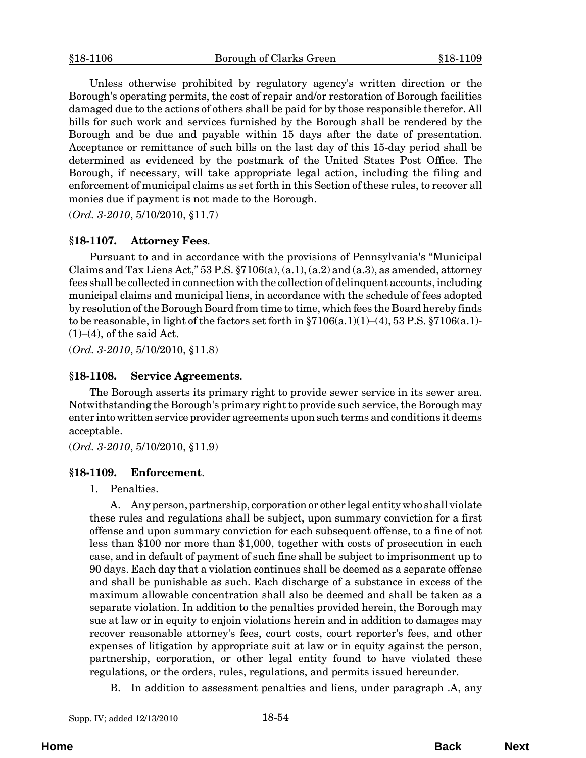<span id="page-53-0"></span>Unless otherwise prohibited by regulatory agency's written direction or the Borough's operating permits, the cost of repair and/or restoration of Borough facilities damaged due to the actions of others shall be paid for by those responsible therefor. All bills for such work and services furnished by the Borough shall be rendered by the Borough and be due and payable within 15 days after the date of presentation. Acceptance or remittance of such bills on the last day of this 15-day period shall be determined as evidenced by the postmark of the United States Post Office. The Borough, if necessary, will take appropriate legal action, including the filing and enforcement of municipal claims as set forth in this Section of these rules, to recover all monies due if payment is not made to the Borough.

(*Ord. 3-2010*, 5/10/2010, §11.7)

#### **§18-1107. Attorney Fees**.

Pursuant to and in accordance with the provisions of Pennsylvania's "Municipal Claims and Tax Liens Act," 53 P.S.  $\S7106(a)$ ,  $(a.1)$ ,  $(a.2)$  and  $(a.3)$ , as amended, attorney fees shall be collected in connection with the collection of delinquent accounts, including municipal claims and municipal liens, in accordance with the schedule of fees adopted by resolution of the Borough Board from time to time, which fees the Board hereby finds to be reasonable, in light of the factors set forth in  $\S7106(a.1)(1)–(4)$ , 53 P.S.  $\S7106(a.1)$ - $(1)$ – $(4)$ , of the said Act.

(*Ord. 3-2010*, 5/10/2010, §11.8)

#### **§18-1108. Service Agreements**.

The Borough asserts its primary right to provide sewer service in its sewer area. Notwithstanding the Borough's primary right to provide such service, the Borough may enter into written service provider agreements upon such terms and conditions it deems acceptable.

(*Ord. 3-2010*, 5/10/2010, §11.9)

#### **§18-1109. Enforcement**.

1. Penalties.

A. Any person, partnership, corporation or other legal entity who shall violate these rules and regulations shall be subject, upon summary conviction for a first offense and upon summary conviction for each subsequent offense, to a fine of not less than \$100 nor more than \$1,000, together with costs of prosecution in each case, and in default of payment of such fine shall be subject to imprisonment up to 90 days. Each day that a violation continues shall be deemed as a separate offense and shall be punishable as such. Each discharge of a substance in excess of the maximum allowable concentration shall also be deemed and shall be taken as a separate violation. In addition to the penalties provided herein, the Borough may sue at law or in equity to enjoin violations herein and in addition to damages may recover reasonable attorney's fees, court costs, court reporter's fees, and other expenses of litigation by appropriate suit at law or in equity against the person, partnership, corporation, or other legal entity found to have violated these regulations, or the orders, rules, regulations, and permits issued hereunder.

B. In addition to assessment penalties and liens, under paragraph .A, any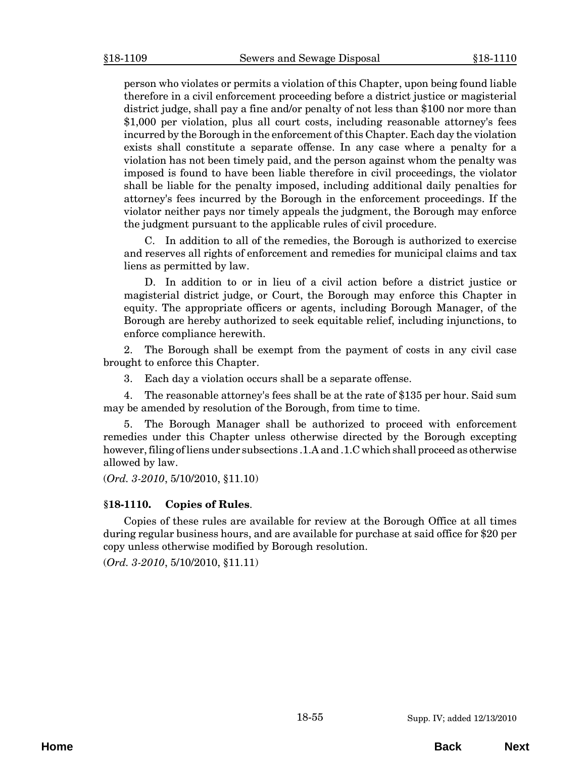<span id="page-54-0"></span>person who violates or permits a violation of this Chapter, upon being found liable therefore in a civil enforcement proceeding before a district justice or magisterial district judge, shall pay a fine and/or penalty of not less than \$100 nor more than \$1,000 per violation, plus all court costs, including reasonable attorney's fees incurred by the Borough in the enforcement of this Chapter. Each day the violation exists shall constitute a separate offense. In any case where a penalty for a violation has not been timely paid, and the person against whom the penalty was imposed is found to have been liable therefore in civil proceedings, the violator shall be liable for the penalty imposed, including additional daily penalties for attorney's fees incurred by the Borough in the enforcement proceedings. If the violator neither pays nor timely appeals the judgment, the Borough may enforce the judgment pursuant to the applicable rules of civil procedure.

C. In addition to all of the remedies, the Borough is authorized to exercise and reserves all rights of enforcement and remedies for municipal claims and tax liens as permitted by law.

D. In addition to or in lieu of a civil action before a district justice or magisterial district judge, or Court, the Borough may enforce this Chapter in equity. The appropriate officers or agents, including Borough Manager, of the Borough are hereby authorized to seek equitable relief, including injunctions, to enforce compliance herewith.

2. The Borough shall be exempt from the payment of costs in any civil case brought to enforce this Chapter.

3. Each day a violation occurs shall be a separate offense.

4. The reasonable attorney's fees shall be at the rate of \$135 per hour. Said sum may be amended by resolution of the Borough, from time to time.

5. The Borough Manager shall be authorized to proceed with enforcement remedies under this Chapter unless otherwise directed by the Borough excepting however, filing of liens under subsections .1.A and .1.C which shall proceed as otherwise allowed by law.

(*Ord. 3-2010*, 5/10/2010, §11.10)

#### **§18-1110. Copies of Rules**.

Copies of these rules are available for review at the Borough Office at all times during regular business hours, and are available for purchase at said office for \$20 per copy unless otherwise modified by Borough resolution.

(*Ord. 3-2010*, 5/10/2010, §11.11)

**Home Back Next**